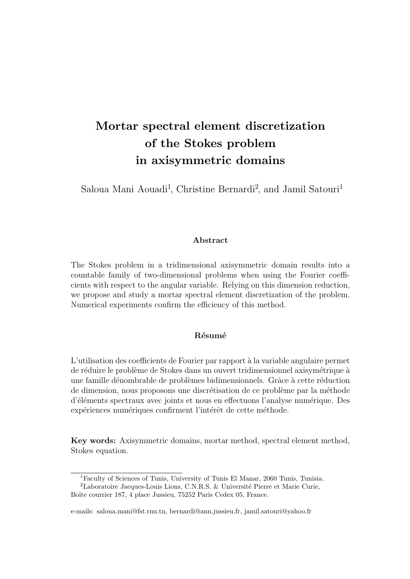# Mortar spectral element discretization of the Stokes problem in axisymmetric domains

Saloua Mani Aouadi<sup>1</sup>, Christine Bernardi<sup>2</sup>, and Jamil Satouri<sup>1</sup>

#### Abstract

The Stokes problem in a tridimensional axisymmetric domain results into a countable family of two-dimensional problems when using the Fourier coefficients with respect to the angular variable. Relying on this dimension reduction, we propose and study a mortar spectral element discretization of the problem. Numerical experiments confirm the efficiency of this method.

#### Résumé

L'utilisation des coefficients de Fourier par rapport à la variable angulaire permet de réduire le problème de Stokes dans un ouvert tridimensionnel axisymétrique à une famille dénombrable de problèmes bidimensionnels. Grâce à cette réduction de dimension, nous proposons une discrétisation de ce problème par la méthode d'éléments spectraux avec joints et nous en effectuons l'analyse numérique. Des expériences numériques confirment l'intérêt de cette méthode.

Key words: Axisymmetric domains, mortar method, spectral element method, Stokes equation.

<sup>1</sup>Faculty of Sciences of Tunis, University of Tunis El Manar, 2060 Tunis, Tunisia.

<sup>&</sup>lt;sup>2</sup>Laboratoire Jacques-Louis Lions, C.N.R.S. & Université Pierre et Marie Curie, Boîte courrier 187, 4 place Jussieu, 75252 Paris Cedex 05, France.

e-mails: saloua.mani@fst.rnu.tn, bernardi@ann.jussieu.fr, jamil.satouri@yahoo.fr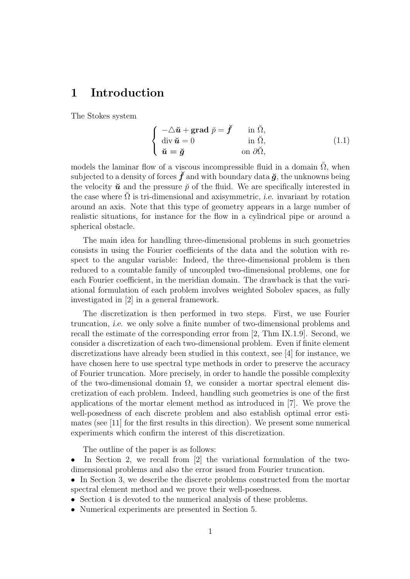# 1 Introduction

The Stokes system

$$
\begin{cases}\n-\triangle \check{u} + \text{grad } \check{p} = \check{f} & \text{in } \check{\Omega}, \\
\text{div } \check{u} = 0 & \text{in } \check{\Omega}, \\
\check{u} = \check{g} & \text{on } \partial \check{\Omega},\n\end{cases}
$$
\n(1.1)

models the laminar flow of a viscous incompressible fluid in a domain  $\tilde{\Omega}$ , when subjected to a density of forces  $\check{f}$  and with boundary data  $\check{g}$ , the unknowns being the velocity  $\check{u}$  and the pressure  $\check{p}$  of the fluid. We are specifically interested in the case where  $\Omega$  is tri-dimensional and axisymmetric, *i.e.* invariant by rotation around an axis. Note that this type of geometry appears in a large number of realistic situations, for instance for the flow in a cylindrical pipe or around a spherical obstacle.

The main idea for handling three-dimensional problems in such geometries consists in using the Fourier coefficients of the data and the solution with respect to the angular variable: Indeed, the three-dimensional problem is then reduced to a countable family of uncoupled two-dimensional problems, one for each Fourier coefficient, in the meridian domain. The drawback is that the variational formulation of each problem involves weighted Sobolev spaces, as fully investigated in [2] in a general framework.

The discretization is then performed in two steps. First, we use Fourier truncation, i.e. we only solve a finite number of two-dimensional problems and recall the estimate of the corresponding error from [2, Thm IX.1.9]. Second, we consider a discretization of each two-dimensional problem. Even if finite element discretizations have already been studied in this context, see [4] for instance, we have chosen here to use spectral type methods in order to preserve the accuracy of Fourier truncation. More precisely, in order to handle the possible complexity of the two-dimensional domain  $\Omega$ , we consider a mortar spectral element discretization of each problem. Indeed, handling such geometries is one of the first applications of the mortar element method as introduced in [7]. We prove the well-posedness of each discrete problem and also establish optimal error estimates (see [11] for the first results in this direction). We present some numerical experiments which confirm the interest of this discretization.

The outline of the paper is as follows:

- In Section 2, we recall from [2] the variational formulation of the twodimensional problems and also the error issued from Fourier truncation.
- In Section 3, we describe the discrete problems constructed from the mortar spectral element method and we prove their well-posedness.
- Section 4 is devoted to the numerical analysis of these problems.
- Numerical experiments are presented in Section 5.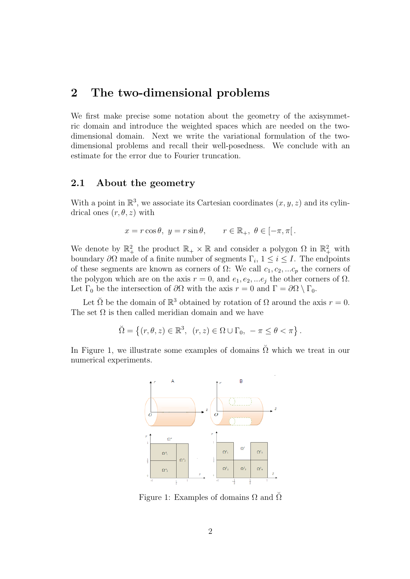### 2 The two-dimensional problems

We first make precise some notation about the geometry of the axisymmetric domain and introduce the weighted spaces which are needed on the twodimensional domain. Next we write the variational formulation of the twodimensional problems and recall their well-posedness. We conclude with an estimate for the error due to Fourier truncation.

#### 2.1 About the geometry

With a point in  $\mathbb{R}^3$ , we associate its Cartesian coordinates  $(x, y, z)$  and its cylindrical ones  $(r, \theta, z)$  with

$$
x = r \cos \theta
$$
,  $y = r \sin \theta$ ,  $r \in \mathbb{R}_+$ ,  $\theta \in [-\pi, \pi[$ .

We denote by  $\mathbb{R}^2_+$  the product  $\mathbb{R}_+ \times \mathbb{R}$  and consider a polygon  $\Omega$  in  $\mathbb{R}^2_+$  with boundary  $\partial\Omega$  made of a finite number of segments  $\Gamma_i$ ,  $1 \leq i \leq I$ . The endpoints of these segments are known as corners of  $\Omega$ : We call  $c_1, c_2, ... c_p$  the corners of the polygon which are on the axis  $r = 0$ , and  $e_1, e_2, \dots e_j$  the other corners of  $\Omega$ . Let  $\Gamma_0$  be the intersection of  $\partial\Omega$  with the axis  $r = 0$  and  $\Gamma = \partial\Omega \setminus \Gamma_0$ .

Let  $\check{\Omega}$  be the domain of  $\mathbb{R}^3$  obtained by rotation of  $\Omega$  around the axis  $r = 0$ . The set  $\Omega$  is then called meridian domain and we have

$$
\breve{\Omega} = \left\{ (r, \theta, z) \in \mathbb{R}^3, \ (r, z) \in \Omega \cup \Gamma_0, \ -\pi \leq \theta < \pi \right\}.
$$

In Figure 1, we illustrate some examples of domains  $\tilde{\Omega}$  which we treat in our numerical experiments.



Figure 1: Examples of domains  $\Omega$  and  $\tilde{\Omega}$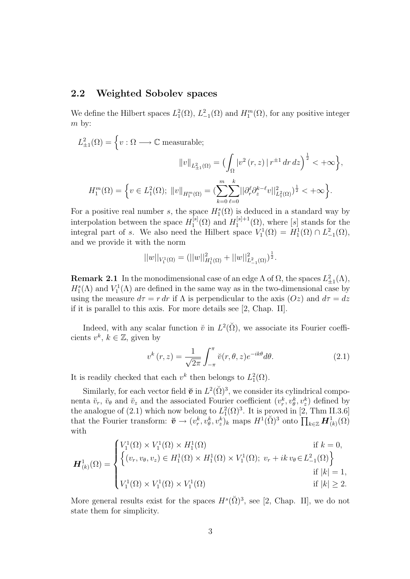#### 2.2 Weighted Sobolev spaces

We define the Hilbert spaces  $L_1^2(\Omega)$ ,  $L_{-1}^2(\Omega)$  and  $H_1^m(\Omega)$ , for any positive integer m by:

$$
L_{\pm 1}^2(\Omega) = \left\{ v : \Omega \longrightarrow \mathbb{C} \text{ measurable};
$$

$$
||v||_{L_{\pm 1}^2(\Omega)} = \left( \int_{\Omega} |v^2(r, z)| r^{\pm 1} dr dz \right)^{\frac{1}{2}} < +\infty \right\},\
$$

$$
H_1^m(\Omega) = \left\{ v \in L_1^2(\Omega); ||v||_{H_1^m(\Omega)} = \left( \sum_{k=0}^m \sum_{\ell=0}^k ||\partial_r^{\ell} \partial_z^{k-\ell} v||_{L_1^2(\Omega)}^2 \right)^{\frac{1}{2}} < +\infty \right\}.
$$

For a positive real number s, the space  $H_1^s(\Omega)$  is deduced in a standard way by interpolation between the space  $H_1^{[s]}$  $H_1^{[s]}(\Omega)$  and  $H_1^{[s]+1}$  $\mathcal{L}^{\lfloor s\rfloor+1}_{1}(\Omega)$ , where  $[s]$  stands for the integral part of s. We also need the Hilbert space  $V_1^1(\Omega) = H_1^1(\Omega) \cap L_{-1}^2(\Omega)$ , and we provide it with the norm

$$
||w||_{V_1^1(\Omega)} = (||w||^2_{H_1^1(\Omega)} + ||w||^2_{L^2_{-1}(\Omega)})^{\frac{1}{2}}.
$$

**Remark 2.1** In the monodimensional case of an edge  $\Lambda$  of  $\Omega$ , the spaces  $L_{\pm 1}^2(\Lambda)$ ,  $H_1^s(\Lambda)$  and  $V_1^1(\Lambda)$  are defined in the same way as in the two-dimensional case by using the measure  $d\tau = r dr$  if  $\Lambda$  is perpendicular to the axis  $(Oz)$  and  $d\tau = dz$ if it is parallel to this axis. For more details see [2, Chap. II].

Indeed, with any scalar function  $\check{v}$  in  $L^2(\check{\Omega})$ , we associate its Fourier coefficients  $v^k, k \in \mathbb{Z}$ , given by

$$
v^{k}(r,z) = \frac{1}{\sqrt{2\pi}} \int_{-\pi}^{\pi} \breve{v}(r,\theta,z)e^{-ik\theta}d\theta.
$$
 (2.1)

It is readily checked that each  $v^k$  then belongs to  $L_1^2(\Omega)$ .

Similarly, for each vector field  $\check{\mathbf{v}}$  in  $L^2(\check{\Omega})^3$ , we consider its cylindrical componenta  $\check{v}_r$ ,  $\check{v}_\theta$  and  $\check{v}_z$  and the associated Fourier coefficient  $(v_r^k, v_\theta^k, v_z^k)$  defined by the analogue of (2.1) which now belong to  $L_1^2(\Omega)^3$ . It is proved in [2, Thm II.3.6] that the Fourier transform:  $\check{\boldsymbol{v}} \to (v_r^k, v_\theta^k, v_z^k)_k$  maps  $H^1(\check{\Omega})^3$  onto  $\prod_{k \in \mathbb{Z}} H^1_{(k)}(\Omega)$ with

$$
\boldsymbol{H}_{(k)}^{1}(\Omega) = \begin{cases} V_{1}^{1}(\Omega) \times V_{1}^{1}(\Omega) \times H_{1}^{1}(\Omega) & \text{if } k = 0, \\ \left\{ (v_{r}, v_{\theta}, v_{z}) \in H_{1}^{1}(\Omega) \times H_{1}^{1}(\Omega) \times V_{1}^{1}(\Omega); \ v_{r} + ik \ v_{\theta} \in L_{-1}^{2}(\Omega) \right\} & \text{if } |k| = 1, \\ V_{1}^{1}(\Omega) \times V_{1}^{1}(\Omega) \times V_{1}^{1}(\Omega) & \text{if } |k| \geq 2. \end{cases}
$$

More general results exist for the spaces  $H^s(\check{\Omega})^3$ , see [2, Chap. II], we do not state them for simplicity.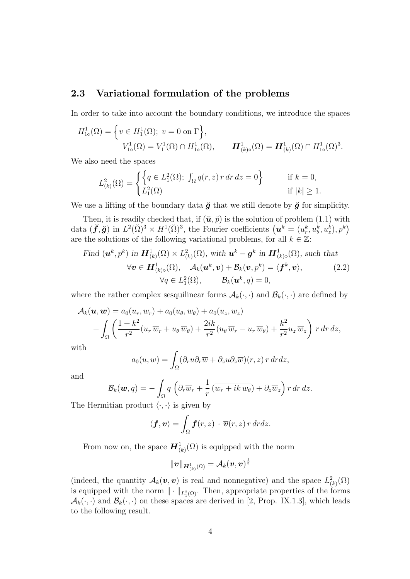#### 2.3 Variational formulation of the problems

In order to take into account the boundary conditions, we introduce the spaces

$$
H_{1\diamond}^1(\Omega) = \left\{ v \in H_1^1(\Omega); \ v = 0 \text{ on } \Gamma \right\},
$$
  

$$
V_{1\diamond}^1(\Omega) = V_1^1(\Omega) \cap H_{1\diamond}^1(\Omega), \qquad \mathbf{H}_{(k)\diamond}^1(\Omega) = \mathbf{H}_{(k)}^1(\Omega) \cap H_{1\diamond}^1(\Omega)^3.
$$

We also need the spaces

$$
L_{(k)}^2(\Omega) = \begin{cases} \left\{ q \in L_1^2(\Omega); \int_{\Omega} q(r, z) r dr dz = 0 \right\} & \text{if } k = 0, \\ L_1^2(\Omega) & \text{if } |k| \ge 1. \end{cases}
$$

We use a lifting of the boundary data  $\breve{g}$  that we still denote by  $\breve{g}$  for simplicity.

Then, it is readily checked that, if  $(\check{u}, \check{p})$  is the solution of problem (1.1) with data  $(\check{f}, \check{g})$  in  $L^2(\check{\Omega})^3 \times H^1(\check{\Omega})^3$ , the Fourier coefficients  $(u^k = (u^k_r, u^k_\theta, u^k_z), p^k)$ are the solutions of the following variational problems, for all  $k \in \mathbb{Z}$ :

Find 
$$
(\mathbf{u}^k, p^k)
$$
 in  $\mathbf{H}_{(k)}^1(\Omega) \times L_{(k)}^2(\Omega)$ , with  $\mathbf{u}^k - \mathbf{g}^k$  in  $\mathbf{H}_{(k)\diamond}^1(\Omega)$ , such that  
\n
$$
\forall \mathbf{v} \in \mathbf{H}_{(k)\diamond}^1(\Omega), \quad \mathcal{A}_k(\mathbf{u}^k, \mathbf{v}) + \mathcal{B}_k(\mathbf{v}, p^k) = \langle \mathbf{f}^k, \mathbf{v} \rangle, \qquad (2.2)
$$
\n
$$
\forall q \in L_1^2(\Omega), \qquad \mathcal{B}_k(\mathbf{u}^k, q) = 0,
$$

where the rather complex sesquilinear forms  $A_k(\cdot, \cdot)$  and  $\mathcal{B}_k(\cdot, \cdot)$  are defined by

$$
\mathcal{A}_k(\boldsymbol{u},\boldsymbol{w}) = a_0(u_r, w_r) + a_0(u_\theta, w_\theta) + a_0(u_z, w_z) + \int_{\Omega} \left( \frac{1+k^2}{r^2} (u_r \overline{w}_r + u_\theta \overline{w}_\theta) + \frac{2ik}{r^2} (u_\theta \overline{w}_r - u_r \overline{w}_\theta) + \frac{k^2}{r^2} u_z \overline{w}_z \right) r dr dz,
$$

with

$$
a_0(u, w) = \int_{\Omega} (\partial_r u \partial_r \overline{w} + \partial_z u \partial_z \overline{w})(r, z) r dr dz,
$$

and

$$
\mathcal{B}_k(\boldsymbol{w},q) = -\int_{\Omega} q\left(\partial_r \overline{w}_r + \frac{1}{r} \left(\overline{w}_r + ik \, \overline{w}_{\theta}\right) + \partial_z \overline{w}_z\right) r \, dr \, dz.
$$

The Hermitian product  $\langle \cdot, \cdot \rangle$  is given by

$$
\langle \boldsymbol{f}, \boldsymbol{v} \rangle = \int_{\Omega} \boldsymbol{f}(r, z) \cdot \overline{\boldsymbol{v}}(r, z) \, r \, dr dz.
$$

From now on, the space  $\mathbf{H}^1_{(k)}(\Omega)$  is equipped with the norm

$$
\|\boldsymbol{v}\|_{\boldsymbol{H}_{(k)}^1(\Omega)}=\mathcal{A}_k(\boldsymbol{v},\boldsymbol{v})^{\frac{1}{2}}
$$

(indeed, the quantity  $\mathcal{A}_k(\boldsymbol{v}, \boldsymbol{v})$  is real and nonnegative) and the space  $L^2_{(k)}(\Omega)$ is equipped with the norm  $\|\cdot\|_{L_1^2(\Omega)}$ . Then, appropriate properties of the forms  $\mathcal{A}_k(\cdot, \cdot)$  and  $\mathcal{B}_k(\cdot, \cdot)$  on these spaces are derived in [2, Prop. IX.1.3], which leads to the following result.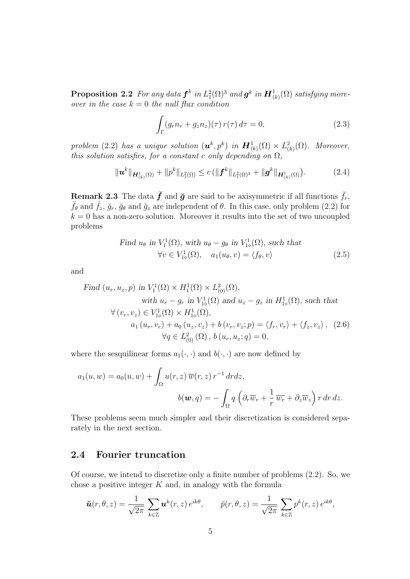**Proposition 2.2** For any data  $\bm{f}^k$  in  $L_1^2(\Omega)^3$  and  $\bm{g}^k$  in  $\bm{H}_{(k)}^1(\Omega)$  satisfying moreover in the case  $k = 0$  the null flux condition

$$
\int_{\Gamma} (g_r n_r + g_z n_z)(\tau) r(\tau) d\tau = 0,
$$
\n(2.3)

problem (2.2) has a unique solution  $(\boldsymbol{u}^k, p^k)$  in  $\boldsymbol{H}^1_{(k)}(\Omega) \times L^2_{(k)}(\Omega)$ . Moreover, this solution satisfies, for a constant c only depending on  $\Omega$ ,

$$
\|\mathbf{u}^{k}\|_{\mathbf{H}_{(k)}^{1}(\Omega)}+\|p^{k}\|_{L_{1}^{2}(\Omega)}\leq c\left(\|\mathbf{f}^{k}\|_{L_{1}^{2}(\Omega)^{3}}+\|\mathbf{g}^{k}\|_{\mathbf{H}_{(k)}^{1}(\Omega)}\right).
$$
 (2.4)

**Remark 2.3** The data  $\check{f}$  and  $\check{g}$  are said to be axisymmetric if all functions  $\check{f}_r$ ,  $\check{f}_{\theta}$  and  $\check{f}_{z}$ ,  $\check{g}_{r}$ ,  $\check{g}_{\theta}$  and  $\check{g}_{z}$  are independent of  $\theta$ . In this case, only problem (2.2) for  $k = 0$  has a non-zero solution. Moreover it results into the set of two uncoupled problems

Find 
$$
u_{\theta}
$$
 in  $V_1^1(\Omega)$ , with  $u_{\theta} - g_{\theta}$  in  $V_{1\diamond}^1(\Omega)$ , such that  
\n
$$
\forall v \in V_{1\diamond}^1(\Omega), \quad a_1(u_{\theta}, v) = \langle f_{\theta}, v \rangle \tag{2.5}
$$

and

Find 
$$
(u_r, u_z, p)
$$
 in  $V_1^1(\Omega) \times H_1^1(\Omega) \times L_{(0)}^2(\Omega)$ ,  
\nwith  $u_r - g_r$  in  $V_{1\circ}^1(\Omega)$  and  $u_z - g_z$  in  $H_{1\circ}^1(\Omega)$ , such that  
\n $\forall (v_r, v_z) \in V_{1\circ}^1(\Omega) \times H_{1\circ}^1(\Omega)$ ,  
\n $a_1(u_r, v_r) + a_0(u_z, v_z) + b(v_r, v_z; p) = \langle f_r, v_r \rangle + \langle f_z, v_z \rangle$ , (2.6)  
\n $\forall q \in L_{(0)}^2(\Omega)$ ,  $b(u_r, u_z; q) = 0$ ,

where the sesquilinear forms  $a_1(\cdot, \cdot)$  and  $b(\cdot, \cdot)$  are now defined by

$$
a_1(u, w) = a_0(u, w) + \int_{\Omega} u(r, z) \overline{w}(r, z) r^{-1} dr dz,
$$

$$
b(\mathbf{w}, q) = -\int_{\Omega} q \left( \partial_r \overline{w}_r + \frac{1}{r} \overline{w}_r + \partial_z \overline{w}_z \right) r dr dz.
$$

These problems seem much simpler and their discretization is considered separately in the next section.

#### 2.4 Fourier truncation

Of course, we intend to discretize only a finite number of problems (2.2). So, we chose a positive integer  $K$  and, in analogy with the formula

$$
\breve{\boldsymbol{u}}(r,\theta,z)=\frac{1}{\sqrt{2\pi}}\sum_{k\in\mathbb{Z}}\boldsymbol{u}^k(r,z)\,e^{ik\theta},\qquad \breve{p}(r,\theta,z)=\frac{1}{\sqrt{2\pi}}\sum_{k\in\mathbb{Z}}p^k(r,z)\,e^{ik\theta},
$$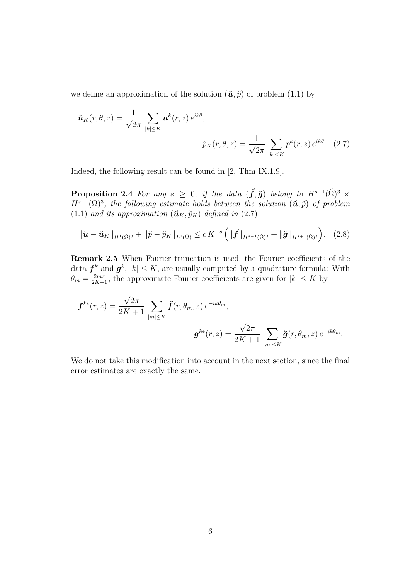we define an approximation of the solution  $(\tilde{\boldsymbol{u}}, \tilde{p})$  of problem (1.1) by

$$
\tilde{\boldsymbol{u}}_K(r,\theta,z) = \frac{1}{\sqrt{2\pi}} \sum_{|k| \le K} \boldsymbol{u}^k(r,z) e^{ik\theta},
$$

$$
\tilde{p}_K(r,\theta,z) = \frac{1}{\sqrt{2\pi}} \sum_{|k| \le K} p^k(r,z) e^{ik\theta}. \quad (2.7)
$$

Indeed, the following result can be found in [2, Thm IX.1.9].

**Proposition 2.4** For any  $s \geq 0$ , if the data  $(\check{f}, \check{g})$  belong to  $H^{s-1}(\check{\Omega})^3$   $\times$  $H^{s+1}(\Omega)^3$ , the following estimate holds between the solution  $(\check{u}, \check{p})$  of problem (1.1) and its approximation  $(\mathbf{u}_K, \breve{p}_K)$  defined in (2.7)

$$
\|\check{u} - \check{u}_K\|_{H^1(\check{\Omega})^3} + \|\check{p} - \check{p}_K\|_{L^2(\check{\Omega})} \le c K^{-s} \left( \|\check{f}\|_{H^{s-1}(\check{\Omega})^3} + \|\check{g}\|_{H^{s+1}(\check{\Omega})^3} \right). \tag{2.8}
$$

Remark 2.5 When Fourier truncation is used, the Fourier coefficients of the data  $f^k$  and  $g^k$ ,  $|k| \leq K$ , are usually computed by a quadrature formula: With  $\theta_m = \frac{2m\pi}{2K+1}$ , the approximate Fourier coefficients are given for  $|k| \leq K$  by

$$
\mathbf{f}^{k*}(r,z) = \frac{\sqrt{2\pi}}{2K+1} \sum_{|m| \leq K} \breve{\mathbf{f}}(r,\theta_m,z) e^{-ik\theta_m},
$$

$$
\mathbf{g}^{k*}(r,z) = \frac{\sqrt{2\pi}}{2K+1} \sum_{|m| \leq K} \breve{\mathbf{g}}(r,\theta_m,z) e^{-ik\theta_m}.
$$

We do not take this modification into account in the next section, since the final error estimates are exactly the same.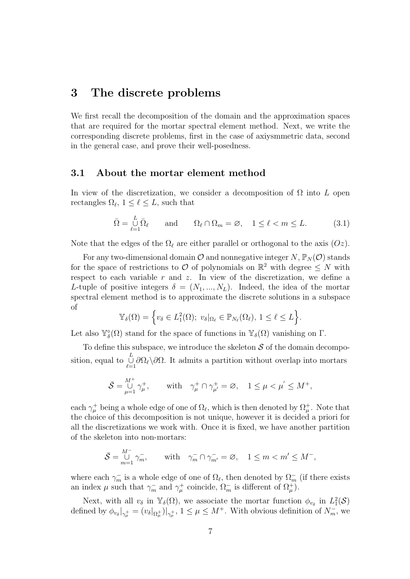### 3 The discrete problems

We first recall the decomposition of the domain and the approximation spaces that are required for the mortar spectral element method. Next, we write the corresponding discrete problems, first in the case of axiysmmetric data, second in the general case, and prove their well-posedness.

#### 3.1 About the mortar element method

In view of the discretization, we consider a decomposition of  $\Omega$  into L open rectangles  $\Omega_{\ell}$ ,  $1 \leq \ell \leq L$ , such that

$$
\bar{\Omega} = \bigcup_{\ell=1}^{L} \bar{\Omega}_{\ell} \quad \text{and} \quad \Omega_{\ell} \cap \Omega_{m} = \varnothing, \quad 1 \le \ell < m \le L. \tag{3.1}
$$

Note that the edges of the  $\Omega_\ell$  are either parallel or orthogonal to the axis  $(Oz)$ .

For any two-dimensional domain  $\mathcal O$  and nonnegative integer  $N, \mathbb P_N(\mathcal O)$  stands for the space of restrictions to  $\mathcal O$  of polynomials on  $\mathbb R^2$  with degree  $\leq N$  with respect to each variable  $r$  and  $z$ . In view of the discretization, we define a L-tuple of positive integers  $\delta = (N_1, ..., N_L)$ . Indeed, the idea of the mortar spectral element method is to approximate the discrete solutions in a subspace of

$$
\mathbb{Y}_{\delta}(\Omega) = \left\{ v_{\delta} \in L_1^2(\Omega); \ v_{\delta} |_{\Omega_{\ell}} \in \mathbb{P}_{N_{\ell}}(\Omega_{\ell}), \ 1 \leq \ell \leq L \right\}.
$$

Let also  $\mathbb{Y}_{\delta}^{\diamond}(\Omega)$  stand for the space of functions in  $\mathbb{Y}_{\delta}(\Omega)$  vanishing on  $\Gamma$ .

To define this subspace, we introduce the skeleton  $S$  of the domain decomposition, equal to  $\bigcup_{\ell=1}^L \partial \Omega_\ell \setminus \partial \Omega$ . It admits a partition without overlap into mortars

$$
\bar{\mathcal{S}} = \bigcup_{\mu=1}^{M^+} \gamma_\mu^+, \qquad \text{with} \quad \gamma_\mu^+ \cap \gamma_{\mu'}^+ = \varnothing, \quad 1 \leq \mu < \mu^{'} \leq M^+,
$$

each  $\gamma^+_\mu$  being a whole edge of one of  $\Omega_\ell$ , which is then denoted by  $\Omega^+_\mu$ . Note that the choice of this decomposition is not unique, however it is decided a priori for all the discretizations we work with. Once it is fixed, we have another partition of the skeleton into non-mortars:

$$
\bar{\mathcal{S}} = \bigcup_{m=1}^{M^-} \gamma_m^-, \qquad \text{with} \quad \gamma_m^- \cap \gamma_{m'}^- = \varnothing, \quad 1 \le m < m' \le M^-,
$$

where each  $\gamma_m^-$  is a whole edge of one of  $\Omega_\ell$ , then denoted by  $\Omega_m^-$  (if there exists an index  $\mu$  such that  $\gamma_m^-$  and  $\gamma_\mu^+$  coincide,  $\Omega_m^-$  is different of  $\Omega_\mu^+$ ).

Next, with all  $v_{\delta}$  in  $\mathbb{Y}_{\delta}(\Omega)$ , we associate the mortar function  $\phi_{v_{\delta}}$  in  $L_1^2(\mathcal{S})$ defined by  $\phi_{v_\delta}|_{\gamma_\mu^+} = (v_\delta|_{\Omega_\mu^+})|_{\gamma_\mu^+}$ ,  $1 \leq \mu \leq M^+$ . With obvious definition of  $N_m^-$ , we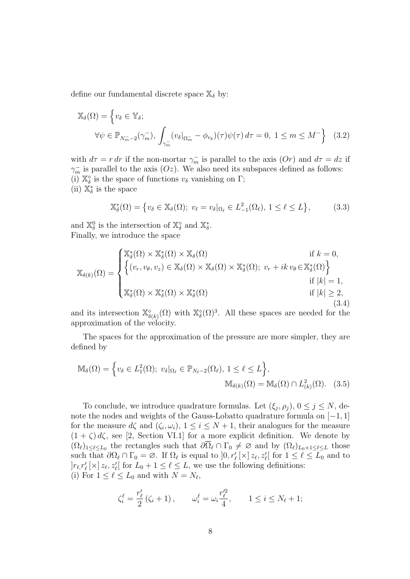define our fundamental discrete space  $\mathbb{X}_{\delta}$  by:

$$
\mathbb{X}_{\delta}(\Omega) = \left\{ v_{\delta} \in \mathbb{Y}_{\delta}; \right\}
$$
  

$$
\forall \psi \in \mathbb{P}_{N_m-2}(\gamma_m^-), \int_{\gamma_m^-} (v_{\delta}|_{\Omega_m^-} - \phi_{v_{\delta}})(\tau) \psi(\tau) d\tau = 0, 1 \le m \le M^- \right\}
$$
 (3.2)

with  $d\tau = r dr$  if the non-mortar  $\gamma_m^-$  is parallel to the axis  $(Or)$  and  $d\tau = dz$  if  $\gamma_m^-$  is parallel to the axis  $(Oz)$ . We also need its subspaces defined as follows: (i)  $\mathbb{X}_{\delta}^{\diamond}$  is the space of functions  $v_{\delta}$  vanishing on  $\Gamma$ ; (ii)  $\mathbb{X}_{\delta}^*$  is the space

$$
\mathbb{X}_{\delta}^{*}(\Omega) = \left\{ v_{\delta} \in \mathbb{X}_{\delta}(\Omega); \ v_{\ell} = v_{\delta} |_{\Omega_{\ell}} \in L_{-1}^{2}(\Omega_{\ell}), \ 1 \leq \ell \leq L \right\},\tag{3.3}
$$

and  $\mathbb{X}_{\delta}^0$  is the intersection of  $\mathbb{X}_{\delta}^{\diamond}$  and  $\mathbb{X}_{\delta}^*$ . Finally, we introduce the space

$$
\mathbb{X}_{\delta(k)}(\Omega) = \begin{cases} \mathbb{X}_{\delta}^{*}(\Omega) \times \mathbb{X}_{\delta}^{*}(\Omega) & \text{if } k = 0, \\ \left\{ (v_{r}, v_{\theta}, v_{z}) \in \mathbb{X}_{\delta}(\Omega) \times \mathbb{X}_{\delta}(\Omega) \times \mathbb{X}_{\delta}^{*}(\Omega); \ v_{r} + ik \ v_{\theta} \in \mathbb{X}_{\delta}^{*}(\Omega) \right\} \\ \text{if } |k| = 1, \\ \mathbb{X}_{\delta}^{*}(\Omega) \times \mathbb{X}_{\delta}^{*}(\Omega) \times \mathbb{X}_{\delta}^{*}(\Omega) & \text{if } |k| \geq 2, \\ (3.4) \end{cases}
$$

and its intersection  $\mathbb{X}_{\delta(k)}^{\diamond}(\Omega)$  with  $\mathbb{X}_{\delta}^{\diamond}(\Omega)^3$ . All these spaces are needed for the approximation of the velocity.

The spaces for the approximation of the pressure are more simpler, they are defined by

$$
\mathbb{M}_{\delta}(\Omega) = \left\{ v_{\delta} \in L_1^2(\Omega); \ v_{\delta} |_{\Omega_{\ell}} \in \mathbb{P}_{N_{\ell}-2}(\Omega_{\ell}), \ 1 \leq \ell \leq L \right\},\
$$

$$
\mathbb{M}_{\delta(k)}(\Omega) = \mathbb{M}_{\delta}(\Omega) \cap L_{(k)}^2(\Omega). \quad (3.5)
$$

To conclude, we introduce quadrature formulas. Let  $(\xi_j, \rho_j)$ ,  $0 \le j \le N$ , denote the nodes and weights of the Gauss-Lobatto quadrature formula on [−1, 1] for the measure  $d\zeta$  and  $(\zeta_i,\omega_i), 1 \leq i \leq N+1$ , their analogues for the measure  $(1 + \zeta) d\zeta$ , see [2, Section VI.1] for a more explicit definition. We denote by  $(\Omega_\ell)_{1\leq \ell \leq L_0}$  the rectangles such that  $\partial \overline{\Omega}_\ell \cap \Gamma_0 \neq \emptyset$  and by  $(\Omega_\ell)_{L_0+1\leq \ell \leq L}$  those such that  $\partial\Omega_{\ell} \cap \Gamma_0 = \emptyset$ . If  $\Omega_{\ell}$  is equal to  $]0, r'_{\ell}[\times] z_{\ell}, z'_{\ell}$  for  $1 \leq \ell \leq L_0$  and to  $|r_{\ell,r'_{\ell}}(\times) z_{\ell}, z'_{\ell}$  for  $L_0 + 1 \leq \ell \leq L$ , we use the following definitions: (i) For  $1 \leq \ell \leq L_0$  and with  $N = N_{\ell}$ ,

$$
\zeta_i^{\ell} = \frac{r'_{\ell}}{2} (\zeta_i + 1), \qquad \omega_i^{\ell} = \omega_i \frac{r'^2_{\ell}}{4}, \qquad 1 \le i \le N_{\ell} + 1;
$$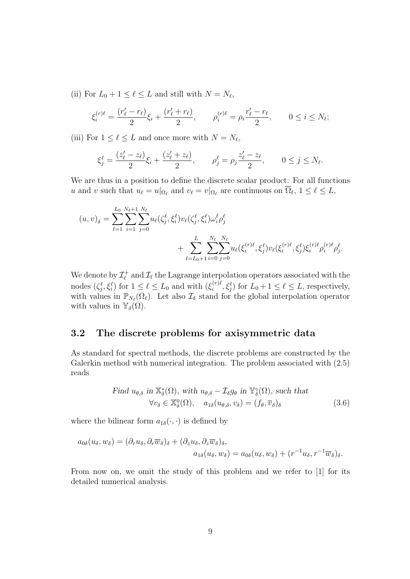(ii) For  $L_0 + 1 \leq \ell \leq L$  and still with  $N = N_{\ell}$ ,

$$
\xi_i^{(r)\ell} = \frac{(r'_\ell - r_\ell)}{2} \xi_i + \frac{(r'_\ell + r_\ell)}{2}, \qquad \rho_i^{(r)\ell} = \rho_i \frac{r'_\ell - r_\ell}{2}, \qquad 0 \le i \le N_\ell;
$$

(iii) For  $1 \leq \ell \leq L$  and once more with  $N = N_{\ell}$ ,

$$
\xi_j^{\ell} = \frac{(z_{\ell}' - z_{\ell})}{2} \xi_i + \frac{(z_{\ell}' + z_{\ell})}{2}, \qquad \rho_j^{\ell} = \rho_j \frac{z_{\ell}' - z_{\ell}}{2}, \qquad 0 \le j \le N_{\ell}.
$$

We are thus in a position to define the discrete scalar product: For all functions u and v such that  $u_\ell = u|_{\Omega_\ell}$  and  $v_\ell = v|_{\Omega_\ell}$  are continuous on  $\overline{\Omega}_\ell$ ,  $1 \leq \ell \leq L$ ,

$$
(u, v)_{\delta} = \sum_{\ell=1}^{L_0} \sum_{i=1}^{N_{\ell}+1} \sum_{j=0}^{N_{\ell}} u_{\ell}(\zeta_j^{\ell}, \xi_i^{\ell}) v_{\ell}(\zeta_j^{\ell}, \xi_i^{\ell}) \omega_i^{\ell} \rho_j^{\ell} + \sum_{\ell=L_0+1}^{L} \sum_{i=0}^{N_{\ell}} \sum_{j=0}^{N_{\ell}} u_{\ell}(\xi_i^{(r)\ell}, \xi_j^{\ell}) v_{\ell}(\xi_i^{(r)\ell}, \xi_j^{\ell}) \xi_i^{(r)\ell} \rho_i^{(r)\ell} \rho_j^{\ell}.
$$

We denote by  $\mathcal{I}_{\ell}^+$  $\mathcal{I}_{\ell}^{+}$  and  $\mathcal{I}_{\ell}$  the Lagrange interpolation operators associated with the nodes  $(\zeta_i^{\ell}, \xi_i^{\ell})$  for  $1 \leq \ell \leq L_0$  and with  $(\xi_i^{(r)\ell})$  $\{f_i^{(r)}\ell, \xi_j^{\ell}\}\$  for  $L_0+1 \leq \ell \leq L$ , respectively, with values in  $\mathbb{P}_{N_{\ell}}(\Omega_{\ell})$ . Let also  $\mathcal{I}_{\delta}$  stand for the global interpolation operator with values in  $\mathbb{Y}_{\delta}(\Omega)$ .

#### 3.2 The discrete problems for axisymmetric data

As standard for spectral methods, the discrete problems are constructed by the Galerkin method with numerical integration. The problem associated with (2.5) reads

Find 
$$
u_{\theta,\delta}
$$
 in  $\mathbb{X}_{\delta}^*(\Omega)$ , with  $u_{\theta,\delta} - \mathcal{I}_{\delta}g_{\theta}$  in  $\mathbb{Y}_{\delta}^{\diamond}(\Omega)$ , such that  
\n
$$
\forall v_{\delta} \in \mathbb{X}_{\delta}^0(\Omega), \quad a_{1\delta}(u_{\theta,\delta}, v_{\delta}) = (f_{\theta}, \overline{v}_{\delta})_{\delta}
$$
\n(3.6)

where the bilinear form  $a_{1\delta}(\cdot, \cdot)$  is defined by

$$
a_{0\delta}(u_{\delta}, w_{\delta}) = (\partial_r u_{\delta}, \partial_r \overline{w}_{\delta})_{\delta} + (\partial_z u_{\delta}, \partial_z \overline{w}_{\delta})_{\delta},
$$
  

$$
a_{1\delta}(u_{\delta}, w_{\delta}) = a_{0\delta}(u_{\delta}, w_{\delta}) + (r^{-1}u_{\delta}, r^{-1}\overline{w}_{\delta})_{\delta}.
$$

From now on, we omit the study of this problem and we refer to [1] for its detailed numerical analysis.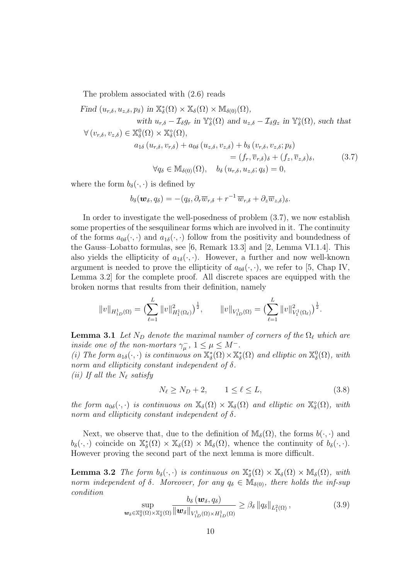The problem associated with (2.6) reads

Find 
$$
(u_{r,\delta}, u_{z,\delta}, p_{\delta})
$$
 in  $\mathbb{X}_{\delta}^*(\Omega) \times \mathbb{X}_{\delta}(\Omega) \times \mathbb{M}_{\delta(0)}(\Omega)$ ,  
\nwith  $u_{r,\delta} - \mathcal{I}_{\delta}g_r$  in  $\mathbb{Y}_{\delta}^{\circ}(\Omega)$  and  $u_{z,\delta} - \mathcal{I}_{\delta}g_z$  in  $\mathbb{Y}_{\delta}^{\circ}(\Omega)$ , such that  
\n
$$
\forall (v_{r,\delta}, v_{z,\delta}) \in \mathbb{X}_{\delta}^{\circ}(\Omega) \times \mathbb{X}_{\delta}^{\circ}(\Omega),
$$
\n
$$
a_{1\delta}(u_{r,\delta}, v_{r,\delta}) + a_{0\delta}(u_{z,\delta}, v_{z,\delta}) + b_{\delta}(v_{r,\delta}, v_{z,\delta}; p_{\delta})
$$
\n
$$
= (f_r, \overline{v}_{r,\delta})_{\delta} + (f_z, \overline{v}_{z,\delta})_{\delta}, \qquad (3.7)
$$
\n
$$
\forall q_{\delta} \in \mathbb{M}_{\delta(0)}(\Omega), \quad b_{\delta}(u_{r,\delta}, u_{z,\delta}; q_{\delta}) = 0,
$$

where the form  $b_{\delta}(\cdot, \cdot)$  is defined by

$$
b_{\delta}(\boldsymbol{w}_{\delta},q_{\delta})=-(q_{\delta},\partial_r\overline{w}_{r,\delta}+r^{-1}\,\overline{w}_{r,\delta}+\partial_z\overline{w}_{z,\delta})_{\delta}.
$$

In order to investigate the well-posedness of problem (3.7), we now establish some properties of the sesquilinear forms which are involved in it. The continuity of the forms  $a_{0\delta}(\cdot,\cdot)$  and  $a_{1\delta}(\cdot,\cdot)$  follow from the positivity and boundedness of the Gauss–Lobatto formulas, see [6, Remark 13.3] and [2, Lemma VI.1.4]. This also yields the ellipticity of  $a_{1\delta}(\cdot, \cdot)$ . However, a further and now well-known argument is needed to prove the ellipticity of  $a_{0\delta}(\cdot, \cdot)$ , we refer to [5, Chap IV, Lemma 3.2] for the complete proof. All discrete spaces are equipped with the broken norms that results from their definition, namely

$$
||v||_{H_{1D}^1(\Omega)} = \left(\sum_{\ell=1}^L ||v||_{H_1^1(\Omega_\ell)}^2\right)^{\frac{1}{2}}, \qquad ||v||_{V_{1D}^1(\Omega)} = \left(\sum_{\ell=1}^L ||v||_{V_1^1(\Omega_\ell)}^2\right)^{\frac{1}{2}}.
$$

**Lemma 3.1** Let  $N_D$  denote the maximal number of corners of the  $\Omega_\ell$  which are inside one of the non-mortars  $\gamma_{\mu}^{-}$ ,  $1 \leq \mu \leq M^{-}$ .

(i) The form  $a_{1\delta}(\cdot, \cdot)$  is continuous on  $\mathbb{X}_{\delta}^{*}(\Omega) \times \mathbb{X}_{\delta}^{*}(\Omega)$  and elliptic on  $\mathbb{X}_{\delta}^{0}(\Omega)$ , with norm and ellipticity constant independent of  $\delta$ . (ii) If all the  $N_{\ell}$  satisfy

$$
N_{\ell} \ge N_D + 2, \qquad 1 \le \ell \le L,\tag{3.8}
$$

the form  $a_{0\delta}(\cdot, \cdot)$  is continuous on  $\mathbb{X}_{\delta}(\Omega) \times \mathbb{X}_{\delta}(\Omega)$  and elliptic on  $\mathbb{X}_{\delta}^{\diamond}(\Omega)$ , with norm and ellipticity constant independent of  $\delta$ .

Next, we observe that, due to the definition of  $\mathbb{M}_{\delta}(\Omega)$ , the forms  $b(\cdot, \cdot)$  and  $b_{\delta}(\cdot, \cdot)$  coincide on  $\mathbb{X}_{\delta}^{*}(\Omega) \times \mathbb{X}_{\delta}(\Omega) \times \mathbb{M}_{\delta}(\Omega)$ , whence the continuity of  $b_{\delta}(\cdot, \cdot)$ . However proving the second part of the next lemma is more difficult.

**Lemma 3.2** The form  $b_{\delta}(\cdot, \cdot)$  is continuous on  $\mathbb{X}_{\delta}^{*}(\Omega) \times \mathbb{X}_{\delta}(\Omega) \times \mathbb{M}_{\delta}(\Omega)$ , with norm independent of  $\delta$ . Moreover, for any  $q_{\delta} \in M_{\delta(0)}$ , there holds the inf-sup condition  $\mathbf{v}$ 

$$
\sup_{\boldsymbol{w}_{\delta}\in\mathbb{X}_{\delta}^{0}(\Omega)\times\mathbb{X}_{\delta}^{\diamond}(\Omega)}\frac{\partial_{\delta}(\boldsymbol{w}_{\delta},q_{\delta})}{\|\boldsymbol{w}_{\delta}\|_{V_{1D}^{1}(\Omega)\times H_{1D}^{1}(\Omega)}}\geq\beta_{\delta}\|q_{\delta}\|_{L_{1}^{2}(\Omega)},\tag{3.9}
$$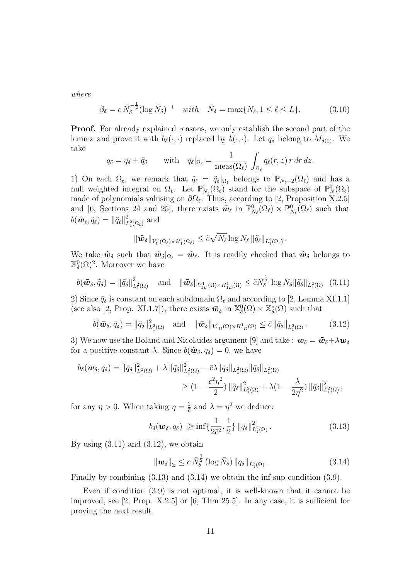where

$$
\beta_{\delta} = c \,\overline{N}_{\delta}^{-\frac{1}{2}} (\log \overline{N}_{\delta})^{-1} \quad with \quad \overline{N}_{\delta} = \max\{N_{\ell}, 1 \le \ell \le L\}. \tag{3.10}
$$

**Proof.** For already explained reasons, we only establish the second part of the lemma and prove it with  $b_{\delta}(\cdot, \cdot)$  replaced by  $b(\cdot, \cdot)$ . Let  $q_{\delta}$  belong to  $M_{\delta(0)}$ . We take

$$
q_{\delta} = \bar{q}_{\delta} + \tilde{q}_{\delta} \quad \text{with} \quad \bar{q}_{\delta} |_{\Omega_{\ell}} = \frac{1}{\text{meas}(\Omega_{\ell})} \int_{\Omega_{\ell}} q_{\ell}(r, z) \, r \, dr \, dz.
$$

1) On each  $\Omega_\ell$ , we remark that  $\tilde{q}_\ell = \tilde{q}_\delta|_{\Omega_\ell}$  belongs to  $\mathbb{P}_{N_\ell-2}(\Omega_\ell)$  and has a null weighted integral on  $\Omega_{\ell}$ . Let  $\mathbb{P}_{N_{\ell}}^{0}(\Omega_{\ell})$  stand for the subspace of  $\mathbb{P}_{N}^{0}(\Omega_{\ell})$ made of polynomials vahising on  $\partial\Omega_{\ell}$ . Thus, according to [2, Proposition X.2.5] and [6, Sections 24 and 25], there exists  $\tilde{\mathbf{w}}_{\ell}$  in  $\mathbb{P}_{N_{\ell}}^{0}(\Omega_{\ell}) \times \mathbb{P}_{N_{\ell}}^{0}(\Omega_{\ell})$  such that  $b(\tilde{\bm{w}}_\ell, \tilde{q}_\ell) = \left\| \tilde{q}_\ell \right\|_L^2$  $L_1^2(\Omega_\ell)$  and

$$
\|\tilde{\boldsymbol{w}}_{\delta}\|_{V_1^1(\Omega_{\ell})\times H_1^1(\Omega_{\ell})}\leq \tilde{c}\sqrt{N_{\ell}}\log N_{\ell} \|\tilde{q}_{\ell}\|_{L_1^2(\Omega_{\ell})}.
$$

We take  $\tilde{\bm{w}}_{\delta}$  such that  $\tilde{\bm{w}}_{\delta} |_{\Omega_{\ell}} = \tilde{\bm{w}}_{\ell}$ . It is readily checked that  $\tilde{\bm{w}}_{\delta}$  belongs to  $\mathbb{X}_{\delta}^{0}(\Omega)^{2}$ . Moreover we have

$$
b(\tilde{\boldsymbol{w}}_{\delta}, \tilde{q}_{\delta}) = \|\tilde{q}_{\delta}\|_{L_1^2(\Omega)}^2 \quad \text{and} \quad \|\tilde{\boldsymbol{w}}_{\delta}\|_{V_{1D}^1(\Omega) \times H_{1D}^1(\Omega)} \leq \tilde{c} \bar{N}_{\delta}^{\frac{1}{2}} \log \bar{N}_{\delta} \|\tilde{q}_{\delta}\|_{L_1^2(\Omega)} \quad (3.11)
$$

2) Since  $\bar{q}_\delta$  is constant on each subdomain  $\Omega_\ell$  and according to [2, Lemma XI.1.1] (see also [2, Prop. XI.1.7]), there exists  $\bar{\mathbf{w}}_{\delta}$  in  $\mathbb{X}_{\delta}^{0}(\Omega) \times \mathbb{X}_{\delta}^{\diamond}(\Omega)$  such that

$$
b(\boldsymbol{\bar{w}}_{\delta},\bar{q}_{\delta})=\|\bar{q}_{\delta}\|_{L_1^2(\Omega)}^2 \quad \text{and} \quad \|\boldsymbol{\bar{w}}_{\delta}\|_{V_{1D}^1(\Omega)\times H_{1D}^1(\Omega)} \leq \bar{c} \|\bar{q}_{\delta}\|_{L_1^2(\Omega)}.
$$
 (3.12)

3) We now use the Boland and Nicolaides argument [9] and take :  $w_{\delta} = \tilde{w}_{\delta} + \lambda \bar{w}_{\delta}$ for a positive constant  $\lambda$ . Since  $b(\tilde{\boldsymbol{w}}_{\delta}, \bar{q}_{\delta}) = 0$ , we have

$$
b_{\delta}(\boldsymbol{w}_{\delta},q_{\delta}) = \|\tilde{q}_{\delta}\|_{L_{1}^{2}(\Omega)}^{2} + \lambda \|\bar{q}_{\delta}\|_{L_{1}^{2}(\Omega)}^{2} - \bar{c}\lambda\|\tilde{q}_{\delta}\|_{L_{1}^{2}(\Omega)}\|\bar{q}_{\delta}\|_{L_{1}^{2}(\Omega)}\geq (1 - \frac{\bar{c}^{2}\eta^{2}}{2}) \|\tilde{q}_{\delta}\|_{L_{1}^{2}(\Omega)}^{2} + \lambda(1 - \frac{\lambda}{2\eta^{2}}) \|\bar{q}_{\delta}\|_{L_{1}^{2}(\Omega)}^{2},
$$

for any  $\eta > 0$ . When taking  $\eta = \frac{1}{\overline{a}}$  $\frac{1}{\bar{c}}$  and  $\lambda = \eta^2$  we deduce:

$$
b_{\delta}(\mathbf{w}_{\delta}, q_{\delta}) \geq \inf \{ \frac{1}{2\bar{c}^2}, \frac{1}{2} \} ||q_{\delta}||^2_{L^2_1(\Omega)}.
$$
 (3.13)

By using  $(3.11)$  and  $(3.12)$ , we obtain

$$
\|\boldsymbol{w}_{\delta}\|_{\mathbb{Z}} \leq c \,\bar{N}_{\delta}^{\frac{1}{2}}\left(\log \bar{N}_{\delta}\right) \|q_{\delta}\|_{L_{1}^{2}(\Omega)}.\tag{3.14}
$$

Finally by combining (3.13) and (3.14) we obtain the inf-sup condition (3.9).

Even if condition (3.9) is not optimal, it is well-known that it cannot be improved, see [2, Prop. X.2.5] or [6, Thm 25.5]. In any case, it is sufficient for proving the next result.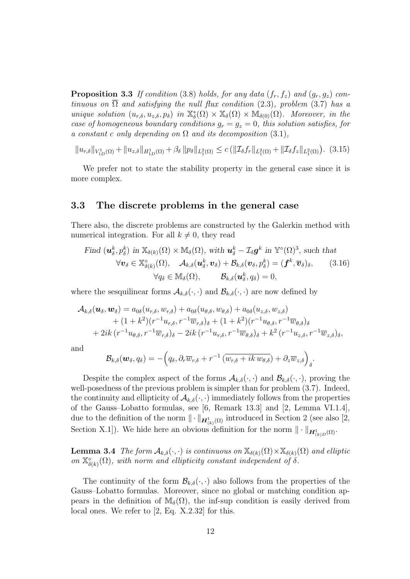**Proposition 3.3** If condition (3.8) holds, for any data  $(f_r, f_z)$  and  $(g_r, g_z)$  continuous on  $\overline{\Omega}$  and satisfying the null flux condition (2.3), problem (3.7) has a unique solution  $(u_{r,\delta}, u_{z,\delta}, p_{\delta})$  in  $\mathbb{X}_{\delta}^*(\Omega) \times \mathbb{X}_{\delta}(\Omega) \times \mathbb{M}_{\delta(0)}(\Omega)$ . Moreover, in the case of homogeneous boundary conditions  $g_r = g_z = 0$ , this solution satisfies, for a constant c only depending on  $\Omega$  and its decomposition (3.1),

 $||u_{r,\delta}||_{V_{1D}^{1}(\Omega)} + ||u_{z,\delta}||_{H_{1D}^{1}(\Omega)} + \beta_{\delta} ||p_{\delta}||_{L_{1}^{2}(\Omega)} \leq c (||\mathcal{I}_{\delta}f_{r}||_{L_{1}^{2}(\Omega)} + ||\mathcal{I}_{\delta}f_{z}||_{L_{1}^{2}(\Omega)}).$  (3.15)

We prefer not to state the stability property in the general case since it is more complex.

#### 3.3 The discrete problems in the general case

There also, the discrete problems are constructed by the Galerkin method with numerical integration. For all  $k \neq 0$ , they read

Find 
$$
(\mathbf{u}_{\delta}^{k}, p_{\delta}^{k})
$$
 in  $\mathbb{X}_{\delta(k)}(\Omega) \times \mathbb{M}_{\delta}(\Omega)$ , with  $\mathbf{u}_{\delta}^{k} - \mathcal{I}_{\delta} \mathbf{g}^{k}$  in  $\mathbb{Y}^{\diamond}(\Omega)^{3}$ , such that  
\n
$$
\forall \mathbf{v}_{\delta} \in \mathbb{X}_{\delta(k)}^{\diamond}(\Omega), \quad \mathcal{A}_{k,\delta}(\mathbf{u}_{\delta}^{k}, \mathbf{v}_{\delta}) + \mathcal{B}_{k,\delta}(\mathbf{v}_{\delta}, p_{\delta}^{k}) = (\mathbf{f}^{k}, \overline{\mathbf{v}}_{\delta})_{\delta}, \qquad (3.16)
$$
\n
$$
\forall q_{\delta} \in \mathbb{M}_{\delta}(\Omega), \qquad \mathcal{B}_{k,\delta}(\mathbf{u}_{\delta}^{k}, q_{\delta}) = 0,
$$

where the sesquilinear forms  $\mathcal{A}_{k,\delta}(\cdot,\cdot)$  and  $\mathcal{B}_{k,\delta}(\cdot,\cdot)$  are now defined by

$$
\mathcal{A}_{k,\delta}(\boldsymbol{u}_{\delta},\boldsymbol{w}_{\delta}) = a_{0\delta}(u_{r,\delta},w_{r,\delta}) + a_{0\delta}(u_{\theta,\delta},w_{\theta,\delta}) + a_{0\delta}(u_{z,\delta},w_{z,\delta}) + (1+k^2)(r^{-1}u_{r,\delta},r^{-1}\overline{w}_{r,\delta})_{\delta} + (1+k^2)(r^{-1}u_{\theta,\delta},r^{-1}\overline{w}_{\theta,\delta})_{\delta} + 2ik(r^{-1}u_{\theta,\delta},r^{-1}\overline{w}_{r,\delta})_{\delta} - 2ik(r^{-1}u_{r,\delta},r^{-1}\overline{w}_{\theta,\delta})_{\delta} + k^2(r^{-1}u_{z,\delta},r^{-1}\overline{w}_{z,\delta})_{\delta},
$$

and

$$
\mathcal{B}_{k,\delta}(\boldsymbol{w}_{\delta},q_{\delta})=-\Big(q_{\delta},\partial_r\overline{w}_{r,\delta}+r^{-1}\left(\overline{w_{r,\delta}+ik~w_{\theta,\delta}}\right)+\partial_z\overline{w}_{z,\delta}\Big)_{\delta}.
$$

Despite the complex aspect of the forms  $\mathcal{A}_{k,\delta}(\cdot,\cdot)$  and  $\mathcal{B}_{k,\delta}(\cdot,\cdot)$ , proving the well-posedness of the previous problem is simpler than for problem (3.7). Indeed, the continuity and ellipticity of  $\mathcal{A}_{k,\delta}(\cdot,\cdot)$  immediately follows from the properties of the Gauss–Lobatto formulas, see [6, Remark 13.3] and [2, Lemma VI.1.4], due to the definition of the norm  $\|\cdot\|_{\mathbf{H}_{(k)}^1(\Omega)}$  introduced in Section 2 (see also [2, Section X.1]). We hide here an obvious definition for the norm  $\|\cdot\|_{\mathbf{H}_{(k)D}^1(\Omega)}$ .

**Lemma 3.4** The form  $\mathcal{A}_{k,\delta}(\cdot,\cdot)$  is continuous on  $\mathbb{X}_{\delta(k)}(\Omega) \times \mathbb{X}_{\delta(k)}(\Omega)$  and elliptic on  $\mathbb{X}_{\delta(k)}^{\diamond}(\Omega)$ , with norm and ellipticity constant independent of  $\delta$ .

The continuity of the form  $\mathcal{B}_{k,\delta}(\cdot,\cdot)$  also follows from the properties of the Gauss–Lobatto formulas. Moreover, since no global or matching condition appears in the definition of  $\mathbb{M}_{\delta}(\Omega)$ , the inf-sup condition is easily derived from local ones. We refer to [2, Eq. X.2.32] for this.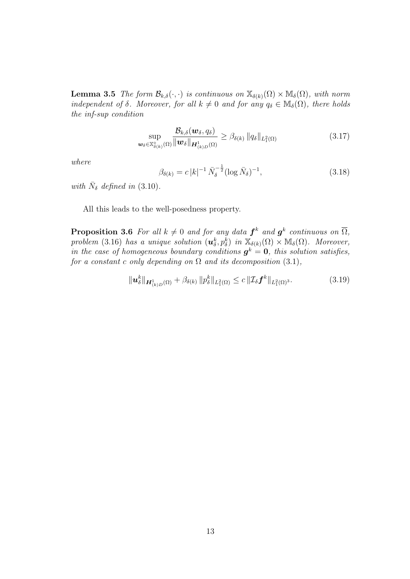**Lemma 3.5** The form  $\mathcal{B}_{k,\delta}(\cdot,\cdot)$  is continuous on  $\mathbb{X}_{\delta(k)}(\Omega) \times \mathbb{M}_{\delta}(\Omega)$ , with norm independent of  $\delta$ . Moreover, for all  $k \neq 0$  and for any  $q_{\delta} \in M_{\delta}(\Omega)$ , there holds the inf-sup condition

$$
\sup_{\boldsymbol{w}_{\delta}\in\mathbb{X}_{\delta(k)}^{\diamond}(\Omega)}\frac{\mathcal{B}_{k,\delta}(\boldsymbol{w}_{\delta},q_{\delta})}{\|\boldsymbol{w}_{\delta}\|_{\boldsymbol{H}_{(k)D}^1(\Omega)}} \geq \beta_{\delta(k)}\|q_{\delta}\|_{L_1^2(\Omega)}\tag{3.17}
$$

where

$$
\beta_{\delta(k)} = c |k|^{-1} \bar{N}_{\delta}^{-\frac{1}{2}} (\log \bar{N}_{\delta})^{-1}, \qquad (3.18)
$$

with  $\bar{N}_{\delta}$  defined in (3.10).

All this leads to the well-posedness property.

**Proposition 3.6** For all  $k \neq 0$  and for any data  $f^k$  and  $g^k$  continuous on  $\overline{\Omega}$ , problem (3.16) has a unique solution  $(\mathbf{u}_{\delta}^k, p_{\delta}^k)$  in  $\mathbb{X}_{\delta(k)}(\Omega) \times \mathbb{M}_{\delta}(\Omega)$ . Moreover, in the case of homogeneous boundary conditions  $g^k = 0$ , this solution satisfies, for a constant c only depending on  $\Omega$  and its decomposition (3.1),

$$
\|\mathbf{u}_{\delta}^{k}\|_{\mathbf{H}_{(k)D}^{1}(\Omega)} + \beta_{\delta(k)} \|p_{\delta}^{k}\|_{L_{1}^{2}(\Omega)} \leq c \|\mathcal{I}_{\delta}\mathbf{f}^{k}\|_{L_{1}^{2}(\Omega)^{3}}.
$$
\n(3.19)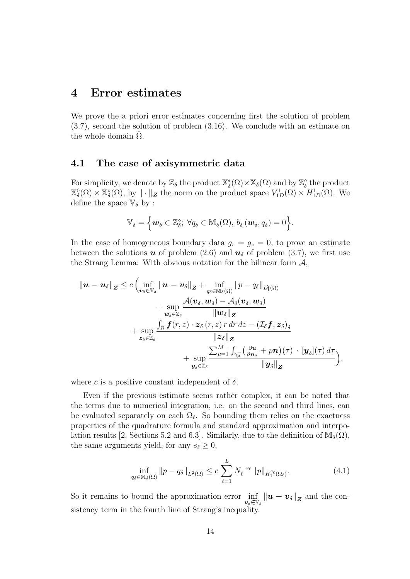### 4 Error estimates

We prove the a priori error estimates concerning first the solution of problem (3.7), second the solution of problem (3.16). We conclude with an estimate on the whole domain  $\Omega$ .

#### 4.1 The case of axisymmetric data

For simplicity, we denote by  $\mathbb{Z}_{\delta}$  the product  $\mathbb{X}_{\delta}^{*}(\Omega) \times \mathbb{X}_{\delta}(\Omega)$  and by  $\mathbb{Z}_{\delta}^{\diamond}$  the product  $\mathbb{X}_{\delta}^{0}(\Omega) \times \mathbb{X}_{\delta}^{\diamond}(\Omega)$ , by  $\|\cdot\|_{\mathbf{Z}}$  the norm on the product space  $V_{1D}^{1}(\Omega) \times H_{1D}^{1}(\Omega)$ . We define the space  $\mathbb{V}_{\delta}$  by :

$$
\mathbb{V}_\delta = \Big\{{\boldsymbol w}_\delta \in \mathbb{Z}_\delta^\diamond; \; \forall q_\delta \in \mathbb{M}_\delta(\Omega), \, b_\delta\left({\boldsymbol w}_\delta, q_\delta\right) = 0\Big\}.
$$

In the case of homogeneous boundary data  $g_r = g_z = 0$ , to prove an estimate between the solutions  $u$  of problem (2.6) and  $u_{\delta}$  of problem (3.7), we first use the Strang Lemma: With obvious notation for the bilinear form  $\mathcal{A}$ ,

$$
\begin{aligned}\n\|\boldsymbol{u}-\boldsymbol{u}_{\delta}\|_{\boldsymbol{Z}} &\leq c \left(\inf_{\boldsymbol{v}_{\delta}\in\mathbb{V}_{\delta}} \|\boldsymbol{u}-\boldsymbol{v}_{\delta}\|_{\boldsymbol{Z}}+\inf_{q_{\delta}\in\mathbb{M}_{\delta}(\Omega)} \|\boldsymbol{p}-q_{\delta}\|_{L_{1}^{2}(\Omega)} \right. \\
&\left.+\sup_{\boldsymbol{w}_{\delta}\in\mathbb{Z}_{\delta}} \frac{\mathcal{A}(\boldsymbol{v}_{\delta},\boldsymbol{w}_{\delta})-\mathcal{A}_{\delta}(\boldsymbol{v}_{\delta},\boldsymbol{w}_{\delta})}{\|\boldsymbol{w}_{\delta}\|_{\boldsymbol{Z}}} \right. \\
&+\sup_{\boldsymbol{z}_{\delta}\in\mathbb{Z}_{\delta}} \frac{\int_{\Omega} \boldsymbol{f}(r,z)\cdot\boldsymbol{z}_{\delta}(r,z)\,r\,dr\,dz - (\mathcal{I}_{\delta}\boldsymbol{f},\boldsymbol{z}_{\delta})_{\delta}}{\|\boldsymbol{z}_{\delta}\|_{\boldsymbol{Z}}} \right. \\
&+\sup_{\boldsymbol{y}_{\delta}\in\mathbb{Z}_{\delta}} \frac{\sum_{\mu=1}^{M^{-}} \int_{\gamma_{\mu}^{-}} \left(\frac{\partial \boldsymbol{u}}{\partial \boldsymbol{n}_{\mu}}+\boldsymbol{p}\boldsymbol{n}\right)(\tau)\cdot[\boldsymbol{y}_{\delta}](\tau)\,d\tau}{\|\boldsymbol{y}_{\delta}\|_{\boldsymbol{Z}}}\right),\n\end{aligned}
$$

where c is a positive constant independent of  $\delta$ .

Even if the previous estimate seems rather complex, it can be noted that the terms due to numerical integration, i.e. on the second and third lines, can be evaluated separately on each  $\Omega_{\ell}$ . So bounding them relies on the exactness properties of the quadrature formula and standard approximation and interpolation results [2, Sections 5.2 and 6.3]. Similarly, due to the definition of  $\mathbb{M}_{\delta}(\Omega)$ , the same arguments yield, for any  $s_\ell \geq 0$ ,

$$
\inf_{q_{\delta} \in \mathbb{M}_{\delta}(\Omega)} \|p - q_{\delta}\|_{L_1^2(\Omega)} \le c \sum_{\ell=1}^L N_{\ell}^{-s_{\ell}} \|p\|_{H_1^{s_{\ell}}(\Omega_{\ell})}.
$$
\n(4.1)

So it remains to bound the approximation error  $\inf_{v_\delta \in \mathbb{V}_\delta} ||u - v_\delta||_{\mathbf{Z}}$  and the consistency term in the fourth line of Strang's inequality.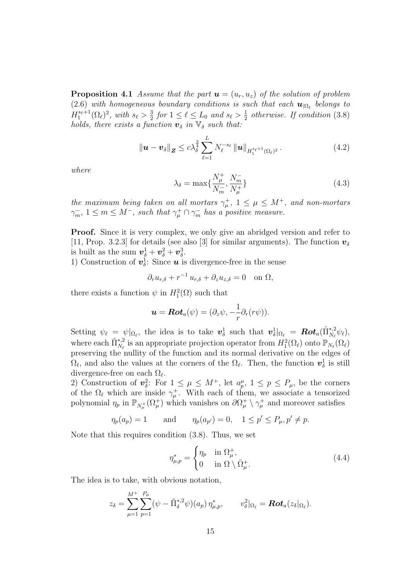**Proposition 4.1** Assume that the part  $u = (u_r, u_z)$  of the solution of problem (2.6) with homogeneous boundary conditions is such that each  $\mathbf{u}_{|\Omega_\ell}$  belongs to  $H_1^{s_{\ell}+1}(\Omega_{\ell})^2$ , with  $s_{\ell} > \frac{3}{2}$  $\frac{3}{2}$  for  $1 \leq \ell \leq L_0$  and  $s_{\ell} > \frac{1}{2}$  $\frac{1}{2}$  otherwise. If condition (3.8) holds, there exists a function  $\mathbf{v}_{\delta}$  in  $\mathbb{V}_{\delta}$  such that:

$$
\|\boldsymbol{u}-\boldsymbol{v}_{\delta}\|_{\boldsymbol{Z}} \leq c\lambda_{\delta}^{\frac{3}{4}}\sum_{\ell=1}^{L}N_{\ell}^{-s_{\ell}}\|\boldsymbol{u}\|_{H_1^{s_{\ell}+1}(\Omega_{\ell})^2}.
$$
\n(4.2)

where

$$
\lambda_{\delta} = \max\{\frac{N_{\mu}^{+}}{N_{m}^{-}}, \frac{N_{m}^{-}}{N_{\mu}^{+}}\}\
$$
\n(4.3)

the maximum being taken on all mortars  $\gamma^+_\mu$ ,  $1 \leq \mu \leq M^+$ , and non-mortars  $\gamma_m^-, 1 \leq m \leq M^-$ , such that  $\gamma_{\mu}^+ \cap \gamma_m^-$  has a positive measure.

**Proof.** Since it is very complex, we only give an abridged version and refer to [11, Prop. 3.2.3] for details (see also [3] for similar arguments). The function  $v_{\delta}$ is built as the sum  $\boldsymbol{v}_{\delta}^1 + \boldsymbol{v}_{\delta}^2 + \boldsymbol{v}_{\delta}^3$ .

1) Construction of  $v^1_\delta$ : Since **u** is divergence-free in the sense

$$
\partial_r u_{r,\delta} + r^{-1} u_{r,\delta} + \partial_z u_{z,\delta} = 0 \quad \text{on } \Omega,
$$

there exists a function  $\psi$  in  $H_1^2(\Omega)$  such that

$$
\boldsymbol{u} = \boldsymbol{Rot}_a(\psi) = (\partial_z \psi, -\frac{1}{r}\partial_r(r\psi)).
$$

Setting  $\psi_{\ell} = \psi|_{\Omega_{\ell}}$ , the idea is to take  $v_{\delta}^1$  such that  $v_{\delta}^1|_{\Omega_{\ell}} = \text{Rot}_a(\tilde{\Pi}_{N_{\ell}}^{*,2}\psi_{\ell}),$ where each  $\tilde{\Pi}_{N_\ell}^{*,2}$  is an appropriate projection operator from  $H_1^2(\Omega_\ell)$  onto  $\mathbb{P}_{N_\ell}(\Omega_\ell)$ preserving the nullity of the function and its normal derivative on the edges of  $\Omega_{\ell}$ , and also the values at the corners of the  $\Omega_{\ell}$ . Then, the function  $\boldsymbol{v}_{\delta}^1$  is still divergence-free on each  $\Omega_{\ell}$ .

2) Construction of  $v_{\delta}^2$ : For  $1 \leq \mu \leq M^+$ , let  $a_p^{\mu}$ ,  $1 \leq p \leq P_{\mu}$ , be the corners of the  $\Omega_{\ell}$  which are inside  $\gamma_{\mu}^{+}$ . With each of them, we associate a tensorized polynomial  $\eta_p$  in  $\mathbb{P}_{N_\mu^+}(\Omega_\mu^+)$  which vanishes on  $\partial \Omega_\mu^+ \setminus \gamma_\mu^+$  and moreover satisfies

$$
\eta_p(a_p) = 1
$$
 and  $\eta_p(a_{p'}) = 0$ ,  $1 \le p' \le P_\mu, p' \ne p$ .

Note that this requires condition (3.8). Thus, we set

$$
\eta_{\mu,p}^* = \begin{cases} \eta_p & \text{in } \Omega_\mu^+, \\ 0 & \text{in } \Omega \setminus \bar{\Omega}_\mu^+ \end{cases} \tag{4.4}
$$

The idea is to take, with obvious notation,

$$
z_{\delta} = \sum_{\mu=1}^{M^+} \sum_{p=1}^{P_{\mu}} (\psi - \tilde{\Pi}_{\delta}^{*,2} \psi)(a_p) \eta_{\mu,p}^*, \qquad v_{\delta}^2|_{\Omega_{\ell}} = \mathbf{Rot}_a(z_{\delta}|_{\Omega_{\ell}}).
$$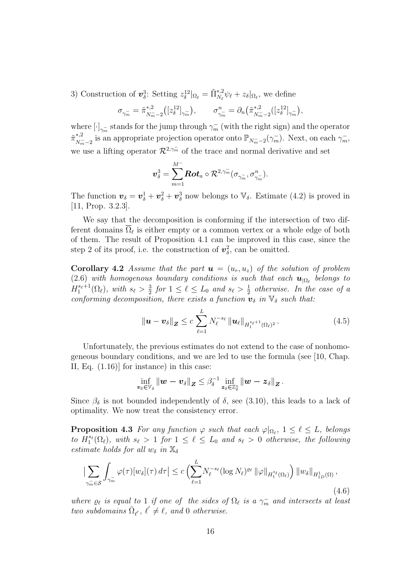3) Construction of  $\mathbf{v}_{\delta}^3$ : Setting  $z_{\delta}^{12}|_{\Omega_{\ell}} = \tilde{\Pi}_{N_{\ell}}^{*,2} \psi_{\ell} + z_{\delta}|_{\Omega_{\ell}}$ , we define

$$
\sigma_{\gamma_m^-} = \tilde{\pi}_{N_m^- - 2}^{*,2} ([z_\delta^{12}]_{\gamma_m^-}), \qquad \sigma_{\gamma_m^-}^n = \partial_n (\tilde{\pi}_{N_m^- - 2}^{*,2} ([z_\delta^{12}]_{\gamma_m^-}),
$$

where  $[\cdot]_{\gamma_m^-}$  stands for the jump through  $\gamma_m^-$  (with the right sign) and the operator  $\tilde{\pi}_{N^-}^{*,2}$ <sup>\*,2</sup> is an appropriate projection operator onto  $\mathbb{P}_{N_m^--2}(\gamma_m^-)$ . Next, on each  $\gamma_m^-$ , we use a lifting operator  $\mathcal{R}^{2,\gamma_m^-}$  of the trace and normal derivative and set

$$
\bm{v}^3_{\delta} = \sum_{m=1}^{M^-} \bm{Rot}_a \circ \mathcal{R}^{2,\gamma_m^-}(\sigma_{\gamma_m^-}, \sigma_{\gamma_m^-}^n).
$$

The function  $\mathbf{v}_{\delta} = \mathbf{v}_{\delta}^1 + \mathbf{v}_{\delta}^2 + \mathbf{v}_{\delta}^3$  now belongs to  $\mathbb{V}_{\delta}$ . Estimate (4.2) is proved in [11, Prop. 3.2.3].

We say that the decomposition is conforming if the intersection of two different domains  $\Omega_{\ell}$  is either empty or a common vertex or a whole edge of both of them. The result of Proposition 4.1 can be improved in this case, since the step 2 of its proof, i.e. the construction of  $v^2_\delta$ , can be omitted.

**Corollary 4.2** Assume that the part  $u = (u_r, u_z)$  of the solution of problem  $(2.6)$  with homogenous boundary conditions is such that each  $\mathbf{u}_{|\Omega_\ell}$  belongs to  $H_1^{s_{\ell}+1}(\Omega_{\ell}), \ with \ s_{\ell} > \frac{3}{2}$  $\frac{3}{2}$  for  $1 \leq \ell \leq L_0$  and  $s_{\ell} > \frac{1}{2}$  $\frac{1}{2}$  otherwise. In the case of a conforming decomposition, there exists a function  $\mathbf{v}_{\delta}$  in  $\mathbb{V}_{\delta}$  such that:

$$
\|\boldsymbol{u}-\boldsymbol{v}_{\delta}\|_{\boldsymbol{Z}} \leq c \sum_{\ell=1}^{L} N_{\ell}^{-s_{\ell}} \|\boldsymbol{u}_{\ell}\|_{H_1^{s_{\ell}+1}(\Omega_{\ell})^2}.
$$
\n(4.5)

Unfortunately, the previous estimates do not extend to the case of nonhomogeneous boundary conditions, and we are led to use the formula (see [10, Chap. II, Eq. (1.16)] for instance) in this case:

$$
\inf_{\bm{v}_{\delta}\in\mathbb{V}_{\delta}}\left\|\bm{w}-\bm{v}_{\delta}\right\|_{\bm{Z}}\leq\beta_{\delta}^{-1}\inf_{\bm{z}_{\delta}\in\mathbb{Z}_{\delta}^{\diamond}}\left\|\bm{w}-\bm{z}_{\delta}\right\|_{\bm{Z}}.
$$

Since  $\beta_{\delta}$  is not bounded independently of  $\delta$ , see (3.10), this leads to a lack of optimality. We now treat the consistency error.

**Proposition 4.3** For any function  $\varphi$  such that each  $\varphi|_{\Omega_{\ell}}, 1 \leq \ell \leq L$ , belongs to  $H_1^{s_\ell}(\Omega_\ell)$ , with  $s_\ell > 1$  for  $1 \leq \ell \leq L_0$  and  $s_\ell > 0$  otherwise, the following estimate holds for all  $w_{\delta}$  in  $\mathbb{X}_{\delta}$ 

$$
\left|\sum_{\gamma_m^- \in \mathcal{S}} \int_{\gamma_m^-} \varphi(\tau) [w_\delta](\tau) d\tau \right| \le c \left( \sum_{\ell=1}^L N_\ell^{-s_\ell} (\log N_\ell)^{\varrho_\ell} \left\| \varphi \right\|_{H_1^{s_\ell}(\Omega_\ell)} \right) \left\| w_\delta \right\|_{H_{1D}^1(\Omega)},\tag{4.6}
$$

where  $\varrho_{\ell}$  is equal to 1 if one of the sides of  $\Omega_{\ell}$  is a  $\gamma_m^-$  and intersects at least two subdomains  $\overline{\Omega}_{\ell}$ ,  $\ell' \neq \ell$ , and 0 otherwise.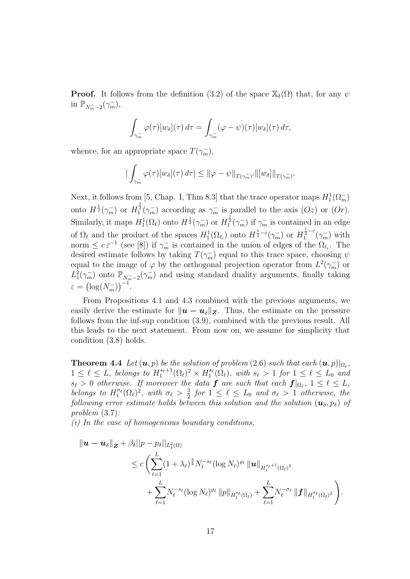**Proof.** It follows from the definition (3.2) of the space  $\mathbb{X}_{\delta}(\Omega)$  that, for any  $\psi$ in  $\mathbb{P}_{N_m^--2}(\gamma_m^-),$ 

$$
\int_{\gamma_m^-} \varphi(\tau)[w_\delta](\tau) d\tau = \int_{\gamma_m^-} (\varphi - \psi)(\tau)[w_\delta](\tau) d\tau,
$$

whence, for an appropriate space  $T(\gamma_m^-)$ ,

$$
\left|\int_{\gamma_m^-} \varphi(\tau)[w_\delta](\tau)\,d\tau\right| \leq \|\varphi - \psi\|_{T(\gamma_m^-)'} \|\left[w_\delta\right]\|_{T(\gamma_m^-)}.
$$

Next, it follows from [5, Chap. I, Thm 8.3] that the trace operator maps  $H_1^1(\Omega_m^-)$ onto  $H^{\frac{1}{2}}(\gamma_m^-)$  or  $H^{\frac{1}{2}}_1(\gamma_m^-)$  according as  $\gamma_m^-$  is parallel to the axis  $(Oz)$  or  $(Or)$ . Similarly, it maps  $H_1^1(\Omega_\ell)$  onto  $H_2^{\frac{1}{2}}(\gamma_m^-)$  or  $H_1^{\frac{1}{2}}(\gamma_m^-)$  if  $\gamma_m^-$  is contained in an edge of  $\Omega_{\ell}$  and the product of the spaces  $H_1^1(\Omega_{\ell_i})$  onto  $H^{\frac{1}{2}-\varepsilon}(\gamma_m^-)$  or  $H_1^{\frac{1}{2}-\varepsilon}(\gamma_m^-)$  with norm  $\leq c \epsilon^{-1}$  (see [8]) if  $\gamma_m^-$  is contained in the union of edges of the  $\Omega_{\ell_i}$ . The desired estimate follows by taking  $T(\gamma_m^-)$  equal to this trace space, choosing  $\psi$ equal to the image of  $\varphi$  by the orthogonal projection operator from  $L^2(\gamma_m^-)$  or  $L_1^2(\gamma_m^-)$  onto  $\mathbb{P}_{N_m^-2}(\gamma_m^-)$  and using standard duality arguments, finally taking  $\varepsilon = (\log(N_m^-))^{-1}$ .

From Propositions 4.1 and 4.3 combined with the previous arguments, we easily derive the estimate for  $||u - u_{\delta}||_Z$ . Thus, the estimate on the pressure follows from the inf-sup condition (3.9), combined with the previous result. All this leads to the next statement. From now on, we assume for simplicity that condition (3.8) holds.

**Theorem 4.4** Let  $(u, p)$  be the solution of problem  $(2.6)$  such that each  $(u, p)|_{\Omega_{\ell}}$ ,  $1 \leq \ell \leq L$ , belongs to  $H_1^{s_{\ell}+1}(\Omega_{\ell})^2 \times H_1^{s_{\ell}}(\Omega_{\ell})$ , with  $s_{\ell} > 1$  for  $1 \leq \ell \leq L_0$  and  $s_{\ell} > 0$  otherwise. If moreover the data  $\bm{f}$  are such that each  $\bm{f}|_{\Omega_{\ell}}, 1 \leq \ell \leq L$ , belongs to  $H_1^{\sigma_{\ell}}(\Omega_{\ell})^2$ , with  $\sigma_{\ell} > \frac{3}{2}$  $\frac{3}{2}$  for  $1 \leq \ell \leq L_0$  and  $\sigma_{\ell} > 1$  otherwise, the following error estimate holds between this solution and the solution  $(\mathbf{u}_{\delta}, p_{\delta})$  of problem (3.7):

 $(i)$  In the case of homogeneous boundary conditions,

$$
\begin{split} \|\boldsymbol{u}-\boldsymbol{u}_{\delta}\|_{\boldsymbol{Z}} &+ \beta_{\delta}||p-p_{\delta}||_{L_{1}^{2}(\Omega)} \\ &\leq c\left(\sum_{\ell=1}^{L}(1+\lambda_{\ell})^{\frac{3}{4}}N_{\ell}^{-s_{\ell}}(\log N_{\ell})^{\varrho_{\ell}}\|\boldsymbol{u}\|_{H_{1}^{s_{\ell}+1}(\Omega_{\ell})^{2}} \\ &+ \sum_{\ell=1}^{L}N_{\ell}^{-s_{\ell}}(\log N_{\ell})^{\varrho_{\ell}}\|p\|_{H_{1}^{s_{\ell}}(\Omega_{\ell})} + \sum_{\ell=1}^{L}N_{\ell}^{-\sigma_{\ell}}\|\boldsymbol{f}\|_{H_{1}^{\sigma_{\ell}}(\Omega_{\ell})^{2}}\right). \end{split}
$$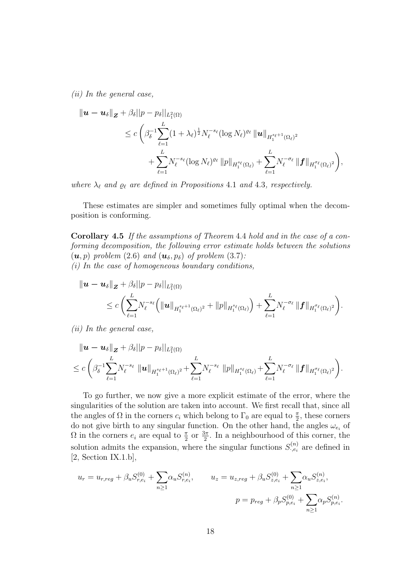(ii) In the general case,

$$
\begin{split} \|\boldsymbol{u}-\boldsymbol{u}_{\delta}\|_{\boldsymbol{Z}} &+ \beta_{\delta}||p-p_{\delta}||_{L_{1}^{2}(\Omega)} \\ &\leq c\left(\beta_{\delta}^{-1}\sum_{\ell=1}^{L}(1+\lambda_{\ell})^{\frac{1}{2}}N_{\ell}^{-s_{\ell}}(\log N_{\ell})^{\varrho_{\ell}}\left\|\boldsymbol{u}\right\|_{H_{1}^{s_{\ell}+1}(\Omega_{\ell})^{2}} \\ &+ \sum_{\ell=1}^{L}N_{\ell}^{-s_{\ell}}(\log N_{\ell})^{\varrho_{\ell}}\left\|p\right\|_{H_{1}^{s_{\ell}}(\Omega_{\ell})} + \sum_{\ell=1}^{L}N_{\ell}^{-\sigma_{\ell}}\left\|\boldsymbol{f}\right\|_{H_{1}^{\sigma_{\ell}}(\Omega_{\ell})^{2}}\right), \end{split}
$$

where  $\lambda_{\ell}$  and  $\varrho_{\ell}$  are defined in Propositions 4.1 and 4.3, respectively.

These estimates are simpler and sometimes fully optimal when the decomposition is conforming.

Corollary 4.5 If the assumptions of Theorem 4.4 hold and in the case of a conforming decomposition, the following error estimate holds between the solutions  $(\mathbf{u}, p)$  problem (2.6) and  $(\mathbf{u}_{\delta}, p_{\delta})$  of problem (3.7): (i) In the case of homogeneous boundary conditions,

$$
\|\boldsymbol{u}-\boldsymbol{u}_{\delta}\|_{\boldsymbol{Z}}+\beta_{\delta}||p-p_{\delta}||_{L^{2}_{1}(\Omega)}
$$

$$
\leq c\left(\sum_{\ell=1}^{L} \! N_{\ell}^{-s_{\ell}} \Big(\|{\bm u}\|_{H_1^{s_{\ell}+1}(\Omega_{\ell})^2}+\|p\|_{H_1^{s_{\ell}}(\Omega_{\ell})}\Big)+\sum_{\ell=1}^{L} \! N_{\ell}^{-\sigma_{\ell}}\,\|{\bm f}\|_{H_1^{\sigma_{\ell}}(\Omega_{\ell})^2}\right)\!.
$$

(ii) In the general case,

$$
\|\mathbf{u}-\mathbf{u}_{\delta}\|_{\mathbf{Z}}+\beta_{\delta}||p-p_{\delta}||_{L_{1}^{2}(\Omega)}\leq c\left(\beta_{\delta}^{-1}\sum_{\ell=1}^{L}N_{\ell}^{-s_{\ell}}\|\mathbf{u}\|_{H_{1}^{s_{\ell}+1}(\Omega_{\ell})^{2}}+\sum_{\ell=1}^{L}N_{\ell}^{-s_{\ell}}\|p\|_{H_{1}^{s_{\ell}}(\Omega_{\ell})}+\sum_{\ell=1}^{L}N_{\ell}^{-\sigma_{\ell}}\|\mathbf{f}\|_{H_{1}^{\sigma_{\ell}}(\Omega_{\ell})^{2}}\right).
$$

To go further, we now give a more explicit estimate of the error, where the singularities of the solution are taken into account. We first recall that, since all the angles of  $\Omega$  in the corners  $c_i$  which belong to  $\Gamma_0$  are equal to  $\frac{\pi}{2}$ , these corners do not give birth to any singular function. On the other hand, the angles  $\omega_{e_i}$  of  $\Omega$  in the corners  $e_i$  are equal to  $\frac{\pi}{2}$  or  $\frac{3\pi}{2}$ . In a neighbourhood of this corner, the solution admits the expansion, where the singular functions  $S_{\cdot,e_i}^{(n)}$  are defined in  $[2, Section IX.1.b],$ 

$$
u_r = u_{r,reg} + \beta_u S_{r,e_i}^{(0)} + \sum_{n\geq 1} \alpha_u S_{r,e_i}^{(n)}, \qquad u_z = u_{z,reg} + \beta_u S_{z,e_i}^{(0)} + \sum_{n\geq 1} \alpha_u S_{z,e_i}^{(n)},
$$

$$
p = p_{reg} + \beta_p S_{p,e_i}^{(0)} + \sum_{n\geq 1} \alpha_p S_{p,e_i}^{(n)}.
$$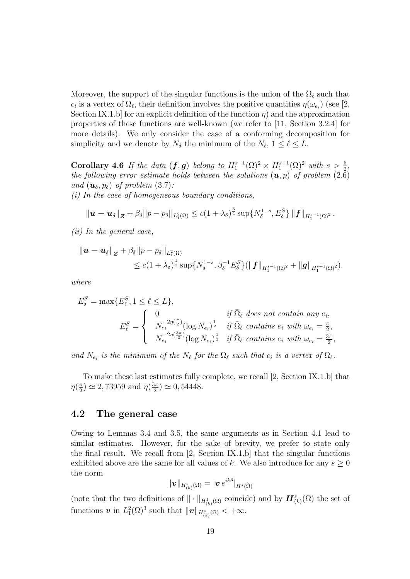Moreover, the support of the singular functions is the union of the  $\overline{\Omega}_{\ell}$  such that  $c_i$  is a vertex of  $\Omega_\ell$ , their definition involves the positive quantities  $\eta(\omega_{e_i})$  (see [2, Section IX.1.b] for an explicit definition of the function  $\eta$ ) and the approximation properties of these functions are well-known (we refer to [11, Section 3.2.4] for more details). We only consider the case of a conforming decomposition for simplicity and we denote by  $N_{\delta}$  the minimum of the  $N_{\ell}$ ,  $1 \leq \ell \leq L$ .

Corollary 4.6 If the data  $(f, g)$  belong to  $H_1^{s-1}(\Omega)^2 \times H_1^{s+1}(\Omega)^2$  with  $s > \frac{5}{2}$ , the following error estimate holds between the solutions  $(u, p)$  of problem  $(2.\overline{6})$ and  $(\mathbf{u}_{\delta}, p_{\delta})$  of problem (3.7):

(i) In the case of homogeneous boundary conditions,

$$
\|\bm{u}-\bm{u}_\delta\|_{\bm{Z}}+\beta_\delta||p-p_\delta||_{L^2_1(\Omega)}\leq c(1+\lambda_\delta)^\frac{3}{4}\sup\{N_\delta^{1-s},E_\delta^S\}\,\|\bm{f}\|_{H_1^{s-1}(\Omega)^2}\,.
$$

(ii) In the general case,

$$
\|\mathbf{u}-\mathbf{u}_{\delta}\|_{\mathbf{Z}}+\beta_{\delta}||p-p_{\delta}||_{L_{1}^{2}(\Omega)}\leq c(1+\lambda_{\delta})^{\frac{1}{2}}\sup\{N_{\delta}^{1-s},\beta_{\delta}^{-1}E_{\delta}^{S}\}(\|\mathbf{f}\|_{H_{1}^{s-1}(\Omega)^{2}}+\|\mathbf{g}\|_{H_{1}^{s+1}(\Omega)^{2}}).
$$

where

$$
E_{\delta}^{S} = \max\{E_{\ell}^{S}, 1 \leq \ell \leq L\},
$$
  
\n
$$
E_{\ell}^{S} = \begin{cases} 0 & \text{if } \bar{\Omega}_{\ell} \text{ does not contain any } e_{i}, \\ N_{e_{i}}^{-2\eta(\frac{\pi}{2})} (\log N_{e_{i}})^{\frac{1}{2}} & \text{if } \bar{\Omega}_{\ell} \text{ contains } e_{i} \text{ with } \omega_{e_{i}} = \frac{\pi}{2}, \\ N_{e_{i}}^{-2\eta(\frac{3\pi}{2})} (\log N_{e_{i}})^{\frac{1}{2}} & \text{if } \bar{\Omega}_{\ell} \text{ contains } e_{i} \text{ with } \omega_{e_{i}} = \frac{3\pi}{2}, \end{cases}
$$

and  $N_{e_i}$  is the minimum of the  $N_{\ell}$  for the  $\Omega_{\ell}$  such that  $c_i$  is a vertex of  $\Omega_{\ell}$ .

To make these last estimates fully complete, we recall [2, Section IX.1.b] that  $\eta(\frac{\pi}{2})$  $(\frac{\pi}{2}) \simeq 2,73959$  and  $\eta(\frac{3\pi}{2})$  $\frac{3\pi}{2}) \simeq 0,54448.$ 

#### 4.2 The general case

Owing to Lemmas 3.4 and 3.5, the same arguments as in Section 4.1 lead to similar estimates. However, for the sake of brevity, we prefer to state only the final result. We recall from [2, Section IX.1.b] that the singular functions exhibited above are the same for all values of k. We also introduce for any  $s \geq 0$ the norm

$$
\|\bm{v}\|_{H^s_{(k)}(\Omega)} = |\bm{v}\, e^{ik\theta}|_{H^s(\breve{\Omega})}
$$

(note that the two definitions of  $\|\cdot\|_{H^1_{(k)}(\Omega)}$  coincide) and by  $\mathbf{H}^s_{(k)}(\Omega)$  the set of functions  $\boldsymbol{v}$  in  $L_1^2(\Omega)^3$  such that  $\|\boldsymbol{v}\|_{H^s_{(k)}(\Omega)} < +\infty$ .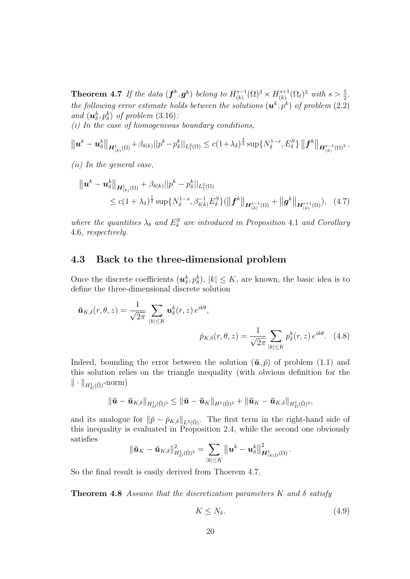**Theorem 4.7** If the data  $(f^k, g^k)$  belong to  $H^{s-1}_{(k)}$  $\binom{s-1}{k} (\Omega)^3 \times H^{s+1}_{(k)}$  $\chi_{(k)}^{s+1}(\Omega_{\ell})^3$  with  $s > \frac{5}{2}$ , the following error estimate holds between the solutions  $(\boldsymbol{u}^k, p^k)$  of problem (2.2) and  $(\boldsymbol{u}_{\delta}^k, p_{\delta}^k)$  of problem  $(3.16)$ :

 $(i)$  In the case of homogeneous boundary conditions,

$$
\left\| \boldsymbol{u}^{k} - \boldsymbol{u}_{\delta}^{k} \right\|_{\boldsymbol{H}_{(k)}^{1}(\Omega)} + \beta_{\delta(k)} ||p^{k} - p_{\delta}^{k}||_{L_{1}^{2}(\Omega)} \leq c(1+\lambda_{\delta})^{\frac{3}{4}} \sup \{ N_{\delta}^{1-s}, E_{\delta}^{S} \} \left\| \boldsymbol{f}^{k} \right\|_{\boldsymbol{H}_{(k)}^{s-1}(\Omega)^{2}}.
$$

(ii) In the general case,

$$
\| \boldsymbol{u}^{k} - \boldsymbol{u}_{\delta}^{k} \|_{\boldsymbol{H}_{(k)}^{1}(\Omega)} + \beta_{\delta(k)} \| p^{k} - p_{\delta}^{k} \|_{L_{1}^{2}(\Omega)} \n\leq c(1 + \lambda_{\delta})^{\frac{1}{2}} \sup \{ N_{\delta}^{1-s}, \beta_{\delta(k)}^{-1} E_{\delta}^{S} \} (\|\boldsymbol{f}^{k} \|_{\boldsymbol{H}_{(k)}^{s-1}(\Omega)} + \|\boldsymbol{g}^{k} \|_{\boldsymbol{H}_{(k)}^{s+1}(\Omega)}), \quad (4.7)
$$

where the quantities  $\lambda_{\delta}$  and  $E_{\delta}^{S}$  are introduced in Proposition 4.1 and Corollary 4.6, respectively.

#### 4.3 Back to the three-dimensional problem

Once the discrete coefficients  $(u_{\delta}^{k}, p_{\delta}^{k}), |k| \leq K$ , are known, the basic idea is to define the three-dimensional discrete solution

$$
\tilde{\mathbf{u}}_{K,\delta}(r,\theta,z) = \frac{1}{\sqrt{2\pi}} \sum_{|k| \le K} \mathbf{u}_{\delta}^{k}(r,z) e^{ik\theta},
$$
\n
$$
\tilde{p}_{K,\delta}(r,\theta,z) = \frac{1}{\sqrt{2\pi}} \sum_{|k| \le K} p_{\delta}^{k}(r,z) e^{ik\theta}. \quad (4.8)
$$

Indeed, bounding the error between the solution  $(\check{u}, \check{p})$  of problem (1.1) and this solution relies on the triangle inequality (with obvious definition for the  $\|\cdot\|_{H_D^1(\breve{\Omega})}$ -norm)

$$
\|\boldsymbol{\breve{u}}-\boldsymbol{\breve{u}}_{K,\delta}\|_{H_D^1(\tilde{\Omega})^3}\leq \|\boldsymbol{\breve{u}}-\boldsymbol{\breve{u}}_K\|_{H^1(\tilde{\Omega})^3}+\|\boldsymbol{\breve{u}}_K-\boldsymbol{\breve{u}}_{K,\delta}\|_{H_D^1(\tilde{\Omega})^3},
$$

and its analogue for  $\|\tilde{p} - \tilde{p}_{K,\delta}\|_{L^2(\tilde{\Omega})}$ . The first term in the right-hand side of this inequality is evaluated in Proposition 2.4, while the second one obviously satisfies

$$
\|\boldsymbol{\breve{u}}_K-\boldsymbol{\breve{u}}_{K,\delta}\|^2_{H_D^1(\check{\Omega})^3}=\sum_{|k|\leq K}\big\|\boldsymbol{u}^k-\boldsymbol{u}_{\delta}^k\big\|^2_{\boldsymbol{H}_{(k)D}^1(\Omega)}\,.
$$

So the final result is easily derived from Thoerem 4.7.

**Theorem 4.8** Assume that the discretization parameters K and  $\delta$  satisfy

$$
K \le N_{\delta}.\tag{4.9}
$$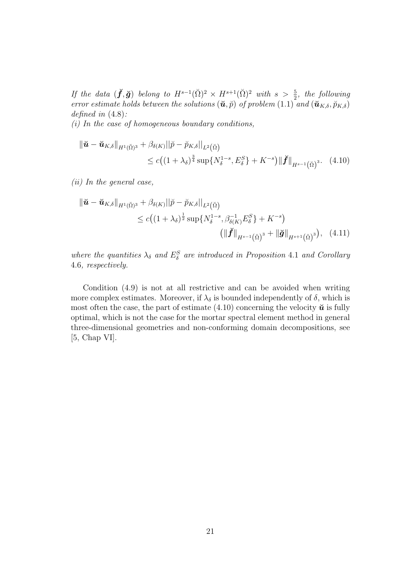If the data  $(\check{f}, \check{g})$  belong to  $H^{s-1}(\check{\Omega})^2 \times H^{s+1}(\check{\Omega})^2$  with  $s > \frac{5}{2}$ , the following error estimate holds between the solutions  $(\check{u}, \check{p})$  of problem  $(1.1)$  and  $(\check{u}_{K,\delta}, \check{p}_{K,\delta})$ defined in  $(4.8)$ :

 $(i)$  In the case of homogeneous boundary conditions,

$$
\begin{split} \|\check{u} - \check{u}_{K,\delta}\|_{H^1(\check{\Omega})^3} + \beta_{\delta(K)} ||\check{p} - \check{p}_{K,\delta}||_{L^2(\check{\Omega})} \\ &\leq c \big( (1 + \lambda_{\delta})^{\frac{3}{4}} \sup \{ N_{\delta}^{1-s}, E_{\delta}^S \} + K^{-s} \big) \| \check{\boldsymbol{f}} \|_{H^{s-1}(\check{\Omega})^3}. \end{split} \tag{4.10}
$$

(ii) In the general case,

$$
\begin{split} \|\check{\mathbf{u}} - \check{\mathbf{u}}_{K,\delta}\|_{H^{1}(\check{\Omega})^{3}} + \beta_{\delta(K)} ||\check{p} - \check{p}_{K,\delta}||_{L^{2}(\check{\Omega})} \\ &\leq c \big( (1 + \lambda_{\delta})^{\frac{1}{2}} \sup \{ N_{\delta}^{1-s}, \beta_{\delta(K)}^{-1} E_{\delta}^{S} \} + K^{-s} \big) \\ &\qquad \qquad \left( \|\check{f}\|_{H^{s-1}(\check{\Omega})^{3}} + \|\check{g}\|_{H^{s+1}(\check{\Omega})^{3}} \right), \quad (4.11) \end{split}
$$

where the quantities  $\lambda_{\delta}$  and  $E_{\delta}^{S}$  are introduced in Proposition 4.1 and Corollary 4.6, respectively.

Condition (4.9) is not at all restrictive and can be avoided when writing more complex estimates. Moreover, if  $\lambda_{\delta}$  is bounded independently of  $\delta$ , which is most often the case, the part of estimate (4.10) concerning the velocity  $\check{u}$  is fully optimal, which is not the case for the mortar spectral element method in general three-dimensional geometries and non-conforming domain decompositions, see [5, Chap VI].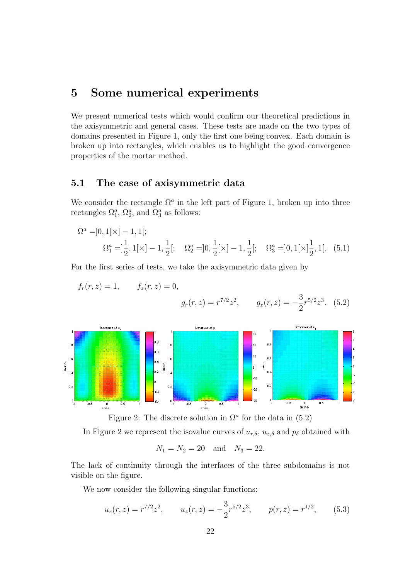## 5 Some numerical experiments

We present numerical tests which would confirm our theoretical predictions in the axisymmetric and general cases. These tests are made on the two types of domains presented in Figure 1, only the first one being convex. Each domain is broken up into rectangles, which enables us to highlight the good convergence properties of the mortar method.

#### 5.1 The case of axisymmetric data

We consider the rectangle  $\Omega^a$  in the left part of Figure 1, broken up into three rectangles  $\Omega_1^a$ ,  $\Omega_2^a$ , and  $\Omega_3^a$  as follows:

$$
\Omega^{a} = ]0, 1[\times] - 1, 1[;
$$
  
\n
$$
\Omega_{1}^{a} = ]\frac{1}{2}, 1[\times] - 1, \frac{1}{2}[;
$$
\n
$$
\Omega_{2}^{a} = ]0, \frac{1}{2}[\times] - 1, \frac{1}{2}[;
$$
\n
$$
\Omega_{3}^{a} = ]0, 1[\times] \frac{1}{2}, 1[.
$$
\n(5.1)

For the first series of tests, we take the axisymmetric data given by

$$
f_r(r, z) = 1,
$$
  $f_z(r, z) = 0,$   

$$
g_r(r, z) = r^{7/2} z^2,
$$
  $g_z(r, z) = -\frac{3}{2} r^{5/2} z^3.$  (5.2)



Figure 2: The discrete solution in  $\Omega^a$  for the data in (5.2)

In Figure 2 we represent the isovalue curves of  $u_{r,\delta}$ ,  $u_{z,\delta}$  and  $p_{\delta}$  obtained with

$$
N_1 = N_2 = 20
$$
 and  $N_3 = 22$ .

The lack of continuity through the interfaces of the three subdomains is not visible on the figure.

We now consider the following singular functions:

$$
u_r(r, z) = r^{7/2}z^2
$$
,  $u_z(r, z) = -\frac{3}{2}r^{5/2}z^3$ ,  $p(r, z) = r^{1/2}$ , (5.3)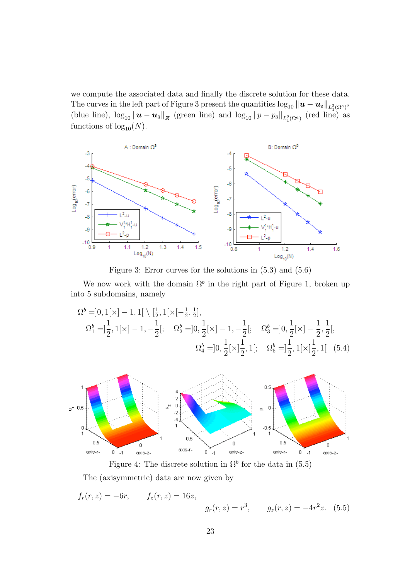we compute the associated data and finally the discrete solution for these data. The curves in the left part of Figure 3 present the quantities  $\log_{10} \| \bm{u} - \bm{u}_\delta \|_{L^2_1(\Omega^a)^2}$ (blue line),  $\log_{10} ||u - u_{\delta}||_Z$  (green line) and  $\log_{10} ||p - p_{\delta}||_{L^2_1(\Omega^a)}$  (red line) as functions of  $log_{10}(N)$ .



Figure 3: Error curves for the solutions in (5.3) and (5.6)

We now work with the domain  $\Omega^b$  in the right part of Figure 1, broken up into 5 subdomains, namely

$$
\Omega^{b} = ]0, 1[\times ] - 1, 1[\ \setminus [\frac{1}{2}, 1[\times [-\frac{1}{2}, \frac{1}{2}],\n\Omega^{b}_{1} = ]\frac{1}{2}, 1[\times ] - 1, -\frac{1}{2}[\cdot \Omega^{b}_{2} = ]0, \frac{1}{2}[\times ] - 1, -\frac{1}{2}[\cdot \Omega^{b}_{3} = ]0, \frac{1}{2}[\times ] - \frac{1}{2}, \frac{1}{2}[\cdot \n\Omega^{b}_{4} = ]0, \frac{1}{2}[\times ]\frac{1}{2}, 1[\cdot \Omega^{b}_{5} = ]\frac{1}{2}, 1[\times ]\frac{1}{2}, 1[\ (5.4)
$$



Figure 4: The discrete solution in  $\Omega^b$  for the data in (5.5) The (axisymmetric) data are now given by

$$
f_r(r, z) = -6r,
$$
  $f_z(r, z) = 16z,$   
 $g_r(r, z) = r^3,$   $g_z(r, z) = -4r^2z.$  (5.5)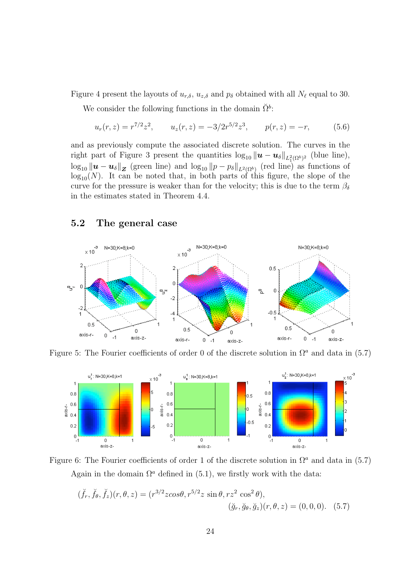Figure 4 present the layouts of  $u_{r,\delta}$ ,  $u_{z,\delta}$  and  $p_{\delta}$  obtained with all  $N_{\ell}$  equal to 30.

We consider the following functions in the domain  $\check{\Omega}^b$ :

$$
u_r(r, z) = r^{7/2} z^2, \qquad u_z(r, z) = -3/2r^{5/2} z^3, \qquad p(r, z) = -r,
$$
 (5.6)

and as previously compute the associated discrete solution. The curves in the right part of Figure 3 present the quantities  $\log_{10} ||u - u_{\delta}||_{L^2_1(\Omega^b)^2}$  (blue line),  $\log_{10} ||u - u_{\delta}||_{Z}$  (green line) and  $\log_{10} ||p - p_{\delta}||_{L^{2}(\Omega^{b})}$  (red line) as functions of  $log_{10}(N)$ . It can be noted that, in both parts of this figure, the slope of the curve for the pressure is weaker than for the velocity; this is due to the term  $\beta_{\delta}$ in the estimates stated in Theorem 4.4.

### 5.2 The general case



Figure 5: The Fourier coefficients of order 0 of the discrete solution in  $\Omega^a$  and data in (5.7)





$$
(\breve{f}_r, \breve{f}_\theta, \breve{f}_z)(r, \theta, z) = (r^{3/2}z\cos\theta, r^{5/2}z\sin\theta, rz^2\cos^2\theta),
$$
  

$$
(\breve{g}_r, \breve{g}_\theta, \breve{g}_z)(r, \theta, z) = (0, 0, 0). \quad (5.7)
$$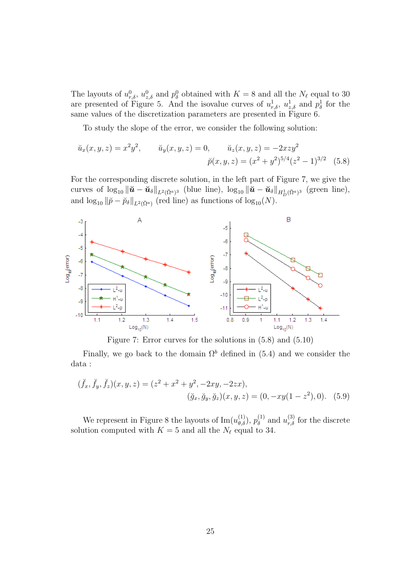The layouts of  $u_{r,\delta}^0$ ,  $u_{z,\delta}^0$  and  $p_{\delta}^0$  obtained with  $K = 8$  and all the  $N_{\ell}$  equal to 30 are presented of Figure 5. And the isovalue curves of  $u_{r,\delta}^1$ ,  $u_{z,\delta}^1$  and  $p_{\delta}^1$  for the same values of the discretization parameters are presented in Figure 6.

To study the slope of the error, we consider the following solution:

$$
\breve{u}_x(x, y, z) = x^2 y^2, \qquad \breve{u}_y(x, y, z) = 0, \qquad \breve{u}_z(x, y, z) = -2xzy^2
$$

$$
\breve{p}(x, y, z) = (x^2 + y^2)^{5/4} (z^2 - 1)^{3/2} \quad (5.8)
$$

For the corresponding discrete solution, in the left part of Figure 7, we give the curves of  $\log_{10} \|\boldsymbol{\breve{u}} - \boldsymbol{\breve{u}}_{\delta}\|_{L^2(\tilde{\Omega}^a)^3}$  (blue line),  $\log_{10} \|\boldsymbol{\breve{u}} - \boldsymbol{\breve{u}}_{\delta}\|_{H^1_D(\tilde{\Omega}^a)^3}$  (green line), and  $\log_{10} \|\breve{p} - \breve{p}_{\delta}\|_{L^2(\breve{\Omega}^a)}$  (red line) as functions of  $\log_{10}(N)$ .



Figure 7: Error curves for the solutions in (5.8) and (5.10)

Finally, we go back to the domain  $\Omega^b$  defined in (5.4) and we consider the data :

$$
(\breve{f}_x, \breve{f}_y, \breve{f}_z)(x, y, z) = (z^2 + x^2 + y^2, -2xy, -2zx),
$$
  

$$
(\breve{g}_x, \breve{g}_y, \breve{g}_z)(x, y, z) = (0, -xy(1 - z^2), 0). \quad (5.9)
$$

We represent in Figure 8 the layouts of  $\text{Im}(u_{\theta,\delta}^{(1)}), p_{\delta}^{(1)}$  $u_{r,\delta}^{(1)}$  and  $u_{r,\delta}^{(3)}$  for the discrete solution computed with  $K = 5$  and all the  $N_{\ell}$  equal to 34.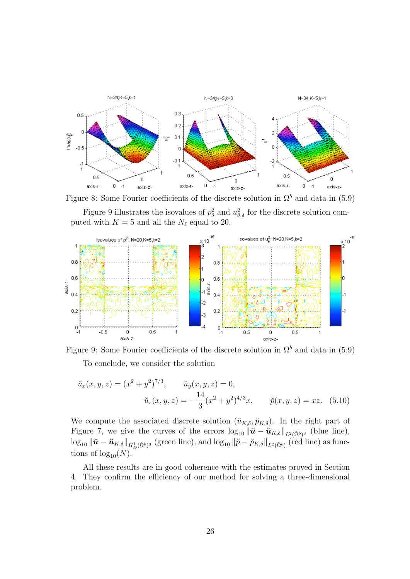

Figure 8: Some Fourier coefficients of the discrete solution in  $\Omega^b$  and data in (5.9) Figure 9 illustrates the isovalues of  $p_\delta^2$  and  $u_{\theta,\delta}^2$  for the discrete solution computed with  $K = 5$  and all the  $N_{\ell}$  equal to 20.





$$
\tilde{u}_x(x, y, z) = (x^2 + y^2)^{7/3}, \qquad \tilde{u}_y(x, y, z) = 0,
$$
  

$$
\tilde{u}_z(x, y, z) = -\frac{14}{3}(x^2 + y^2)^{4/3}x, \qquad \tilde{p}(x, y, z) = xz.
$$
 (5.10)

We compute the associated discrete solution  $(\check{u}_{K,\delta}, \check{p}_{K,\delta})$ . In the right part of Figure 7, we give the curves of the errors  $\log_{10} \|\check{u} - \check{u}_{K,\delta}\|_{L^2(\check{\Omega}^b)^3}$  (blue line),  $\log_{10} \|\check{\boldsymbol{u}} - \check{\boldsymbol{u}}_{K,\delta}\|_{H^1_D(\check{\Omega}^b)^3}$  (green line), and  $\log_{10} \|\check{p} - \check{p}_{K,\delta}\|_{L^2(\check{\Omega}^b)}$  (red line) as functions of  $log_{10}(N)$ .

All these results are in good coherence with the estimates proved in Section 4. They confirm the efficiency of our method for solving a three-dimensional problem.